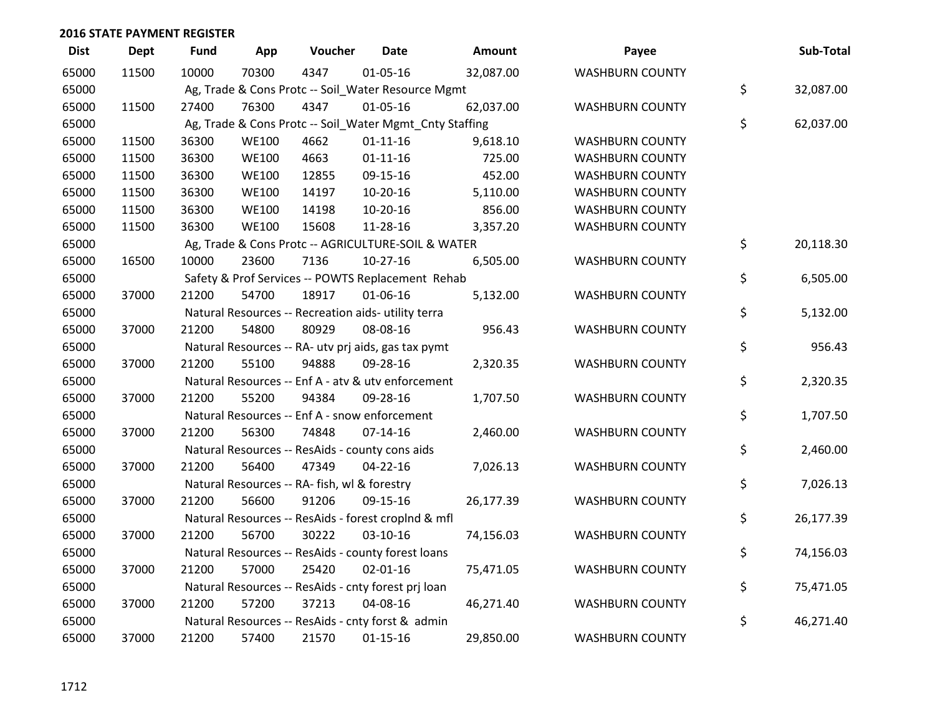| <b>Dist</b> | <b>Dept</b> | <b>Fund</b> | App          | Voucher                                      | <b>Date</b>                                             | Amount    | Payee                  | Sub-Total       |
|-------------|-------------|-------------|--------------|----------------------------------------------|---------------------------------------------------------|-----------|------------------------|-----------------|
| 65000       | 11500       | 10000       | 70300        | 4347                                         | 01-05-16                                                | 32,087.00 | <b>WASHBURN COUNTY</b> |                 |
| 65000       |             |             |              |                                              | Ag, Trade & Cons Protc -- Soil_Water Resource Mgmt      |           |                        | \$<br>32,087.00 |
| 65000       | 11500       | 27400       | 76300        | 4347                                         | $01 - 05 - 16$                                          | 62,037.00 | <b>WASHBURN COUNTY</b> |                 |
| 65000       |             |             |              |                                              | Ag, Trade & Cons Protc -- Soil_Water Mgmt_Cnty Staffing |           |                        | \$<br>62,037.00 |
| 65000       | 11500       | 36300       | <b>WE100</b> | 4662                                         | $01 - 11 - 16$                                          | 9,618.10  | <b>WASHBURN COUNTY</b> |                 |
| 65000       | 11500       | 36300       | <b>WE100</b> | 4663                                         | $01 - 11 - 16$                                          | 725.00    | <b>WASHBURN COUNTY</b> |                 |
| 65000       | 11500       | 36300       | <b>WE100</b> | 12855                                        | 09-15-16                                                | 452.00    | <b>WASHBURN COUNTY</b> |                 |
| 65000       | 11500       | 36300       | <b>WE100</b> | 14197                                        | 10-20-16                                                | 5,110.00  | <b>WASHBURN COUNTY</b> |                 |
| 65000       | 11500       | 36300       | <b>WE100</b> | 14198                                        | 10-20-16                                                | 856.00    | <b>WASHBURN COUNTY</b> |                 |
| 65000       | 11500       | 36300       | <b>WE100</b> | 15608                                        | 11-28-16                                                | 3,357.20  | <b>WASHBURN COUNTY</b> |                 |
| 65000       |             |             |              |                                              | Ag, Trade & Cons Protc -- AGRICULTURE-SOIL & WATER      |           |                        | \$<br>20,118.30 |
| 65000       | 16500       | 10000       | 23600        | 7136                                         | $10-27-16$                                              | 6,505.00  | <b>WASHBURN COUNTY</b> |                 |
| 65000       |             |             |              |                                              | Safety & Prof Services -- POWTS Replacement Rehab       |           |                        | \$<br>6,505.00  |
| 65000       | 37000       | 21200       | 54700        | 18917                                        | 01-06-16                                                | 5,132.00  | <b>WASHBURN COUNTY</b> |                 |
| 65000       |             |             |              |                                              | Natural Resources -- Recreation aids- utility terra     |           |                        | \$<br>5,132.00  |
| 65000       | 37000       | 21200       | 54800        | 80929                                        | 08-08-16                                                | 956.43    | <b>WASHBURN COUNTY</b> |                 |
| 65000       |             |             |              |                                              | Natural Resources -- RA- utv prj aids, gas tax pymt     |           |                        | \$<br>956.43    |
| 65000       | 37000       | 21200       | 55100        | 94888                                        | 09-28-16                                                | 2,320.35  | <b>WASHBURN COUNTY</b> |                 |
| 65000       |             |             |              |                                              | Natural Resources -- Enf A - atv & utv enforcement      |           |                        | \$<br>2,320.35  |
| 65000       | 37000       | 21200       | 55200        | 94384                                        | 09-28-16                                                | 1,707.50  | <b>WASHBURN COUNTY</b> |                 |
| 65000       |             |             |              |                                              | Natural Resources -- Enf A - snow enforcement           |           |                        | \$<br>1,707.50  |
| 65000       | 37000       | 21200       | 56300        | 74848                                        | $07 - 14 - 16$                                          | 2,460.00  | <b>WASHBURN COUNTY</b> |                 |
| 65000       |             |             |              |                                              | Natural Resources -- ResAids - county cons aids         |           |                        | \$<br>2,460.00  |
| 65000       | 37000       | 21200       | 56400        | 47349                                        | $04 - 22 - 16$                                          | 7,026.13  | <b>WASHBURN COUNTY</b> |                 |
| 65000       |             |             |              | Natural Resources -- RA- fish, wl & forestry |                                                         |           |                        | \$<br>7,026.13  |
| 65000       | 37000       | 21200       | 56600        | 91206                                        | 09-15-16                                                | 26,177.39 | <b>WASHBURN COUNTY</b> |                 |
| 65000       |             |             |              |                                              | Natural Resources -- ResAids - forest croplnd & mfl     |           |                        | \$<br>26,177.39 |
| 65000       | 37000       | 21200       | 56700        | 30222                                        | $03-10-16$                                              | 74,156.03 | <b>WASHBURN COUNTY</b> |                 |
| 65000       |             |             |              |                                              | Natural Resources -- ResAids - county forest loans      |           |                        | \$<br>74,156.03 |
| 65000       | 37000       | 21200       | 57000        | 25420                                        | $02 - 01 - 16$                                          | 75,471.05 | <b>WASHBURN COUNTY</b> |                 |
| 65000       |             |             |              |                                              | Natural Resources -- ResAids - cnty forest prj loan     |           |                        | \$<br>75,471.05 |
| 65000       | 37000       | 21200       | 57200        | 37213                                        | 04-08-16                                                | 46,271.40 | <b>WASHBURN COUNTY</b> |                 |
| 65000       |             |             |              |                                              | Natural Resources -- ResAids - cnty forst & admin       |           |                        | \$<br>46,271.40 |
| 65000       | 37000       | 21200       | 57400        | 21570                                        | $01 - 15 - 16$                                          | 29,850.00 | <b>WASHBURN COUNTY</b> |                 |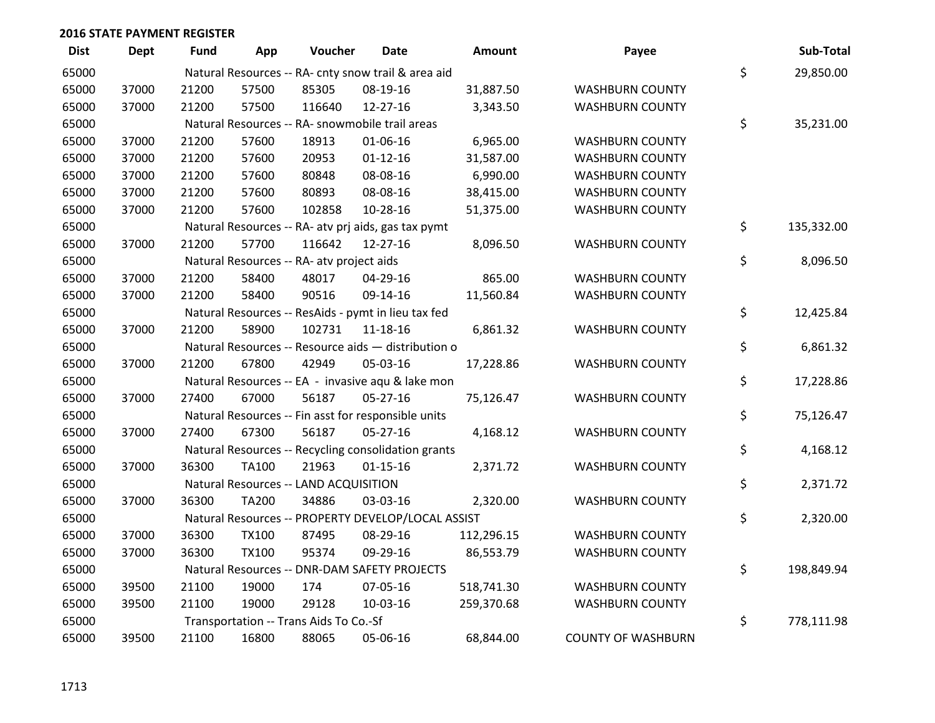| <b>Dist</b> | <b>Dept</b> | <b>Fund</b> | App          | Voucher                                   | <b>Date</b>                                         | <b>Amount</b> | Payee                     | Sub-Total        |
|-------------|-------------|-------------|--------------|-------------------------------------------|-----------------------------------------------------|---------------|---------------------------|------------------|
| 65000       |             |             |              |                                           | Natural Resources -- RA- cnty snow trail & area aid |               |                           | \$<br>29,850.00  |
| 65000       | 37000       | 21200       | 57500        | 85305                                     | 08-19-16                                            | 31,887.50     | <b>WASHBURN COUNTY</b>    |                  |
| 65000       | 37000       | 21200       | 57500        | 116640                                    | 12-27-16                                            | 3,343.50      | <b>WASHBURN COUNTY</b>    |                  |
| 65000       |             |             |              |                                           | Natural Resources -- RA- snowmobile trail areas     |               |                           | \$<br>35,231.00  |
| 65000       | 37000       | 21200       | 57600        | 18913                                     | 01-06-16                                            | 6,965.00      | <b>WASHBURN COUNTY</b>    |                  |
| 65000       | 37000       | 21200       | 57600        | 20953                                     | $01 - 12 - 16$                                      | 31,587.00     | <b>WASHBURN COUNTY</b>    |                  |
| 65000       | 37000       | 21200       | 57600        | 80848                                     | 08-08-16                                            | 6,990.00      | <b>WASHBURN COUNTY</b>    |                  |
| 65000       | 37000       | 21200       | 57600        | 80893                                     | 08-08-16                                            | 38,415.00     | <b>WASHBURN COUNTY</b>    |                  |
| 65000       | 37000       | 21200       | 57600        | 102858                                    | 10-28-16                                            | 51,375.00     | <b>WASHBURN COUNTY</b>    |                  |
| 65000       |             |             |              |                                           | Natural Resources -- RA- atv prj aids, gas tax pymt |               |                           | \$<br>135,332.00 |
| 65000       | 37000       | 21200       | 57700        | 116642                                    | 12-27-16                                            | 8,096.50      | <b>WASHBURN COUNTY</b>    |                  |
| 65000       |             |             |              | Natural Resources -- RA- atv project aids |                                                     |               |                           | \$<br>8,096.50   |
| 65000       | 37000       | 21200       | 58400        | 48017                                     | 04-29-16                                            | 865.00        | <b>WASHBURN COUNTY</b>    |                  |
| 65000       | 37000       | 21200       | 58400        | 90516                                     | 09-14-16                                            | 11,560.84     | <b>WASHBURN COUNTY</b>    |                  |
| 65000       |             |             |              |                                           | Natural Resources -- ResAids - pymt in lieu tax fed |               |                           | \$<br>12,425.84  |
| 65000       | 37000       | 21200       | 58900        | 102731                                    | 11-18-16                                            | 6,861.32      | <b>WASHBURN COUNTY</b>    |                  |
| 65000       |             |             |              |                                           | Natural Resources -- Resource aids - distribution o |               |                           | \$<br>6,861.32   |
| 65000       | 37000       | 21200       | 67800        | 42949                                     | 05-03-16                                            | 17,228.86     | <b>WASHBURN COUNTY</b>    |                  |
| 65000       |             |             |              |                                           | Natural Resources -- EA - invasive aqu & lake mon   |               |                           | \$<br>17,228.86  |
| 65000       | 37000       | 27400       | 67000        | 56187                                     | $05 - 27 - 16$                                      | 75,126.47     | <b>WASHBURN COUNTY</b>    |                  |
| 65000       |             |             |              |                                           | Natural Resources -- Fin asst for responsible units |               |                           | \$<br>75,126.47  |
| 65000       | 37000       | 27400       | 67300        | 56187                                     | $05 - 27 - 16$                                      | 4,168.12      | <b>WASHBURN COUNTY</b>    |                  |
| 65000       |             |             |              |                                           | Natural Resources -- Recycling consolidation grants |               |                           | \$<br>4,168.12   |
| 65000       | 37000       | 36300       | <b>TA100</b> | 21963                                     | $01 - 15 - 16$                                      | 2,371.72      | <b>WASHBURN COUNTY</b>    |                  |
| 65000       |             |             |              | Natural Resources -- LAND ACQUISITION     |                                                     |               |                           | \$<br>2,371.72   |
| 65000       | 37000       | 36300       | <b>TA200</b> | 34886                                     | 03-03-16                                            | 2,320.00      | <b>WASHBURN COUNTY</b>    |                  |
| 65000       |             |             |              |                                           | Natural Resources -- PROPERTY DEVELOP/LOCAL ASSIST  |               |                           | \$<br>2,320.00   |
| 65000       | 37000       | 36300       | <b>TX100</b> | 87495                                     | 08-29-16                                            | 112,296.15    | <b>WASHBURN COUNTY</b>    |                  |
| 65000       | 37000       | 36300       | <b>TX100</b> | 95374                                     | 09-29-16                                            | 86,553.79     | <b>WASHBURN COUNTY</b>    |                  |
| 65000       |             |             |              |                                           | Natural Resources -- DNR-DAM SAFETY PROJECTS        |               |                           | \$<br>198,849.94 |
| 65000       | 39500       | 21100       | 19000        | 174                                       | 07-05-16                                            | 518,741.30    | <b>WASHBURN COUNTY</b>    |                  |
| 65000       | 39500       | 21100       | 19000        | 29128                                     | 10-03-16                                            | 259,370.68    | <b>WASHBURN COUNTY</b>    |                  |
| 65000       |             |             |              | Transportation -- Trans Aids To Co.-Sf    |                                                     |               |                           | \$<br>778,111.98 |
| 65000       | 39500       | 21100       | 16800        | 88065                                     | 05-06-16                                            | 68,844.00     | <b>COUNTY OF WASHBURN</b> |                  |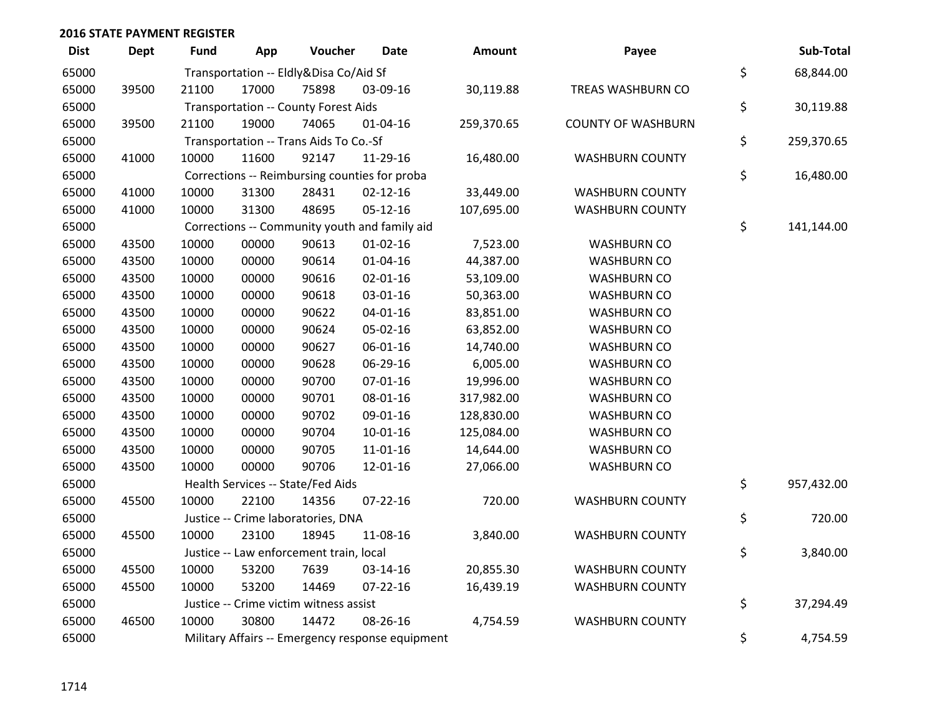| <b>Dist</b> | <b>Dept</b> | <b>Fund</b> | App   | Voucher                                 | <b>Date</b>                                      | Amount     | Payee                     | Sub-Total        |
|-------------|-------------|-------------|-------|-----------------------------------------|--------------------------------------------------|------------|---------------------------|------------------|
| 65000       |             |             |       | Transportation -- Eldly&Disa Co/Aid Sf  |                                                  |            |                           | \$<br>68,844.00  |
| 65000       | 39500       | 21100       | 17000 | 75898                                   | 03-09-16                                         | 30,119.88  | TREAS WASHBURN CO         |                  |
| 65000       |             |             |       | Transportation -- County Forest Aids    |                                                  |            |                           | \$<br>30,119.88  |
| 65000       | 39500       | 21100       | 19000 | 74065                                   | $01 - 04 - 16$                                   | 259,370.65 | <b>COUNTY OF WASHBURN</b> |                  |
| 65000       |             |             |       | Transportation -- Trans Aids To Co.-Sf  |                                                  |            |                           | \$<br>259,370.65 |
| 65000       | 41000       | 10000       | 11600 | 92147                                   | 11-29-16                                         | 16,480.00  | <b>WASHBURN COUNTY</b>    |                  |
| 65000       |             |             |       |                                         | Corrections -- Reimbursing counties for proba    |            |                           | \$<br>16,480.00  |
| 65000       | 41000       | 10000       | 31300 | 28431                                   | $02 - 12 - 16$                                   | 33,449.00  | <b>WASHBURN COUNTY</b>    |                  |
| 65000       | 41000       | 10000       | 31300 | 48695                                   | 05-12-16                                         | 107,695.00 | <b>WASHBURN COUNTY</b>    |                  |
| 65000       |             |             |       |                                         | Corrections -- Community youth and family aid    |            |                           | \$<br>141,144.00 |
| 65000       | 43500       | 10000       | 00000 | 90613                                   | $01-02-16$                                       | 7,523.00   | <b>WASHBURN CO</b>        |                  |
| 65000       | 43500       | 10000       | 00000 | 90614                                   | $01 - 04 - 16$                                   | 44,387.00  | <b>WASHBURN CO</b>        |                  |
| 65000       | 43500       | 10000       | 00000 | 90616                                   | $02 - 01 - 16$                                   | 53,109.00  | <b>WASHBURN CO</b>        |                  |
| 65000       | 43500       | 10000       | 00000 | 90618                                   | 03-01-16                                         | 50,363.00  | <b>WASHBURN CO</b>        |                  |
| 65000       | 43500       | 10000       | 00000 | 90622                                   | $04 - 01 - 16$                                   | 83,851.00  | <b>WASHBURN CO</b>        |                  |
| 65000       | 43500       | 10000       | 00000 | 90624                                   | 05-02-16                                         | 63,852.00  | <b>WASHBURN CO</b>        |                  |
| 65000       | 43500       | 10000       | 00000 | 90627                                   | 06-01-16                                         | 14,740.00  | <b>WASHBURN CO</b>        |                  |
| 65000       | 43500       | 10000       | 00000 | 90628                                   | 06-29-16                                         | 6,005.00   | <b>WASHBURN CO</b>        |                  |
| 65000       | 43500       | 10000       | 00000 | 90700                                   | $07 - 01 - 16$                                   | 19,996.00  | <b>WASHBURN CO</b>        |                  |
| 65000       | 43500       | 10000       | 00000 | 90701                                   | 08-01-16                                         | 317,982.00 | <b>WASHBURN CO</b>        |                  |
| 65000       | 43500       | 10000       | 00000 | 90702                                   | 09-01-16                                         | 128,830.00 | <b>WASHBURN CO</b>        |                  |
| 65000       | 43500       | 10000       | 00000 | 90704                                   | $10-01-16$                                       | 125,084.00 | <b>WASHBURN CO</b>        |                  |
| 65000       | 43500       | 10000       | 00000 | 90705                                   | 11-01-16                                         | 14,644.00  | <b>WASHBURN CO</b>        |                  |
| 65000       | 43500       | 10000       | 00000 | 90706                                   | 12-01-16                                         | 27,066.00  | <b>WASHBURN CO</b>        |                  |
| 65000       |             |             |       | Health Services -- State/Fed Aids       |                                                  |            |                           | \$<br>957,432.00 |
| 65000       | 45500       | 10000       | 22100 | 14356                                   | $07 - 22 - 16$                                   | 720.00     | <b>WASHBURN COUNTY</b>    |                  |
| 65000       |             |             |       | Justice -- Crime laboratories, DNA      |                                                  |            |                           | \$<br>720.00     |
| 65000       | 45500       | 10000       | 23100 | 18945                                   | 11-08-16                                         | 3,840.00   | <b>WASHBURN COUNTY</b>    |                  |
| 65000       |             |             |       | Justice -- Law enforcement train, local |                                                  |            |                           | \$<br>3,840.00   |
| 65000       | 45500       | 10000       | 53200 | 7639                                    | 03-14-16                                         | 20,855.30  | <b>WASHBURN COUNTY</b>    |                  |
| 65000       | 45500       | 10000       | 53200 | 14469                                   | $07 - 22 - 16$                                   | 16,439.19  | <b>WASHBURN COUNTY</b>    |                  |
| 65000       |             |             |       | Justice -- Crime victim witness assist  |                                                  |            |                           | \$<br>37,294.49  |
| 65000       | 46500       | 10000       | 30800 | 14472                                   | 08-26-16                                         | 4,754.59   | <b>WASHBURN COUNTY</b>    |                  |
| 65000       |             |             |       |                                         | Military Affairs -- Emergency response equipment |            |                           | \$<br>4,754.59   |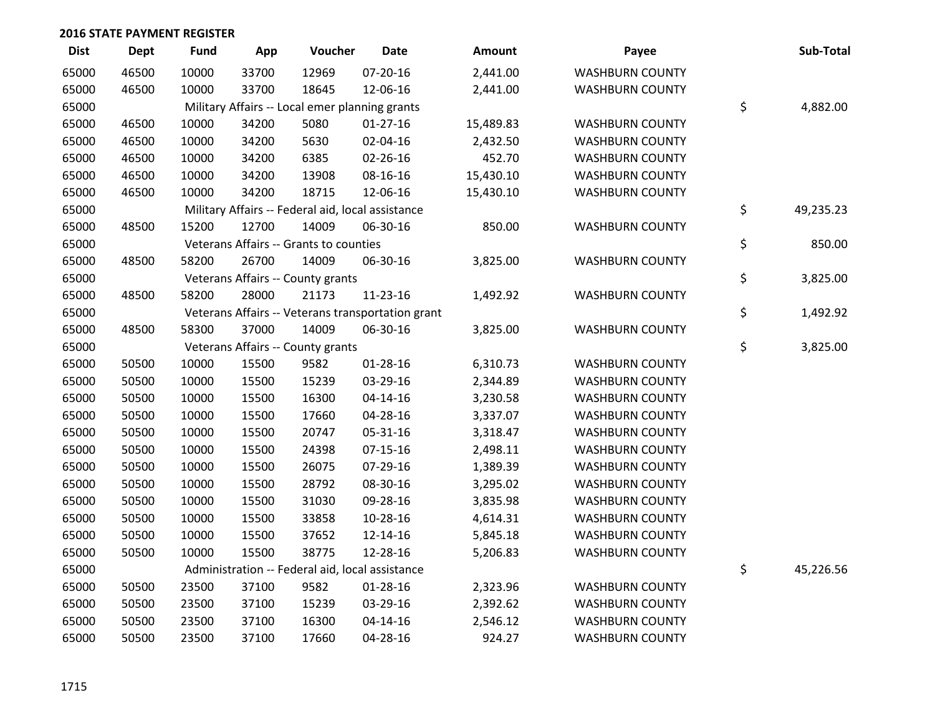| <b>Dist</b> | Dept  | <b>Fund</b> | App   | Voucher                                           | Date                                              | Amount    | Payee                  | Sub-Total       |
|-------------|-------|-------------|-------|---------------------------------------------------|---------------------------------------------------|-----------|------------------------|-----------------|
| 65000       | 46500 | 10000       | 33700 | 12969                                             | 07-20-16                                          | 2,441.00  | <b>WASHBURN COUNTY</b> |                 |
| 65000       | 46500 | 10000       | 33700 | 18645                                             | 12-06-16                                          | 2,441.00  | <b>WASHBURN COUNTY</b> |                 |
| 65000       |       |             |       | Military Affairs -- Local emer planning grants    |                                                   |           |                        | \$<br>4,882.00  |
| 65000       | 46500 | 10000       | 34200 | 5080                                              | $01-27-16$                                        | 15,489.83 | <b>WASHBURN COUNTY</b> |                 |
| 65000       | 46500 | 10000       | 34200 | 5630                                              | 02-04-16                                          | 2,432.50  | <b>WASHBURN COUNTY</b> |                 |
| 65000       | 46500 | 10000       | 34200 | 6385                                              | 02-26-16                                          | 452.70    | <b>WASHBURN COUNTY</b> |                 |
| 65000       | 46500 | 10000       | 34200 | 13908                                             | 08-16-16                                          | 15,430.10 | <b>WASHBURN COUNTY</b> |                 |
| 65000       | 46500 | 10000       | 34200 | 18715                                             | 12-06-16                                          | 15,430.10 | <b>WASHBURN COUNTY</b> |                 |
| 65000       |       |             |       | Military Affairs -- Federal aid, local assistance |                                                   |           |                        | \$<br>49,235.23 |
| 65000       | 48500 | 15200       | 12700 | 14009                                             | 06-30-16                                          | 850.00    | <b>WASHBURN COUNTY</b> |                 |
| 65000       |       |             |       | Veterans Affairs -- Grants to counties            |                                                   |           |                        | \$<br>850.00    |
| 65000       | 48500 | 58200       | 26700 | 14009                                             | 06-30-16                                          | 3,825.00  | <b>WASHBURN COUNTY</b> |                 |
| 65000       |       |             |       | Veterans Affairs -- County grants                 |                                                   |           |                        | \$<br>3,825.00  |
| 65000       | 48500 | 58200       | 28000 | 21173                                             | $11 - 23 - 16$                                    | 1,492.92  | <b>WASHBURN COUNTY</b> |                 |
| 65000       |       |             |       |                                                   | Veterans Affairs -- Veterans transportation grant |           |                        | \$<br>1,492.92  |
| 65000       | 48500 | 58300       | 37000 | 14009                                             | 06-30-16                                          | 3,825.00  | <b>WASHBURN COUNTY</b> |                 |
| 65000       |       |             |       | Veterans Affairs -- County grants                 |                                                   |           |                        | \$<br>3,825.00  |
| 65000       | 50500 | 10000       | 15500 | 9582                                              | $01 - 28 - 16$                                    | 6,310.73  | <b>WASHBURN COUNTY</b> |                 |
| 65000       | 50500 | 10000       | 15500 | 15239                                             | 03-29-16                                          | 2,344.89  | <b>WASHBURN COUNTY</b> |                 |
| 65000       | 50500 | 10000       | 15500 | 16300                                             | $04 - 14 - 16$                                    | 3,230.58  | <b>WASHBURN COUNTY</b> |                 |
| 65000       | 50500 | 10000       | 15500 | 17660                                             | 04-28-16                                          | 3,337.07  | <b>WASHBURN COUNTY</b> |                 |
| 65000       | 50500 | 10000       | 15500 | 20747                                             | 05-31-16                                          | 3,318.47  | <b>WASHBURN COUNTY</b> |                 |
| 65000       | 50500 | 10000       | 15500 | 24398                                             | $07-15-16$                                        | 2,498.11  | <b>WASHBURN COUNTY</b> |                 |
| 65000       | 50500 | 10000       | 15500 | 26075                                             | 07-29-16                                          | 1,389.39  | <b>WASHBURN COUNTY</b> |                 |
| 65000       | 50500 | 10000       | 15500 | 28792                                             | 08-30-16                                          | 3,295.02  | <b>WASHBURN COUNTY</b> |                 |
| 65000       | 50500 | 10000       | 15500 | 31030                                             | 09-28-16                                          | 3,835.98  | <b>WASHBURN COUNTY</b> |                 |
| 65000       | 50500 | 10000       | 15500 | 33858                                             | 10-28-16                                          | 4,614.31  | <b>WASHBURN COUNTY</b> |                 |
| 65000       | 50500 | 10000       | 15500 | 37652                                             | 12-14-16                                          | 5,845.18  | <b>WASHBURN COUNTY</b> |                 |
| 65000       | 50500 | 10000       | 15500 | 38775                                             | 12-28-16                                          | 5,206.83  | <b>WASHBURN COUNTY</b> |                 |
| 65000       |       |             |       | Administration -- Federal aid, local assistance   |                                                   |           |                        | \$<br>45,226.56 |
| 65000       | 50500 | 23500       | 37100 | 9582                                              | $01-28-16$                                        | 2,323.96  | <b>WASHBURN COUNTY</b> |                 |
| 65000       | 50500 | 23500       | 37100 | 15239                                             | 03-29-16                                          | 2,392.62  | <b>WASHBURN COUNTY</b> |                 |
| 65000       | 50500 | 23500       | 37100 | 16300                                             | $04 - 14 - 16$                                    | 2,546.12  | <b>WASHBURN COUNTY</b> |                 |
| 65000       | 50500 | 23500       | 37100 | 17660                                             | 04-28-16                                          | 924.27    | <b>WASHBURN COUNTY</b> |                 |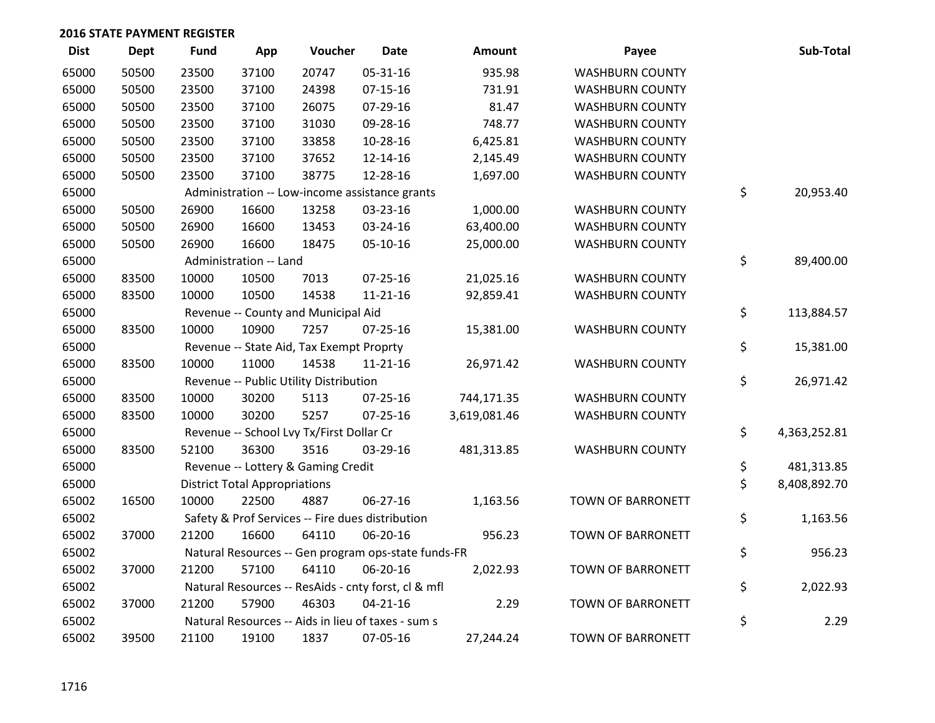| <b>Dist</b> | Dept  | <b>Fund</b> | App                                  | Voucher                                             | <b>Date</b>    | Amount       | Payee                    | Sub-Total          |
|-------------|-------|-------------|--------------------------------------|-----------------------------------------------------|----------------|--------------|--------------------------|--------------------|
| 65000       | 50500 | 23500       | 37100                                | 20747                                               | 05-31-16       | 935.98       | <b>WASHBURN COUNTY</b>   |                    |
| 65000       | 50500 | 23500       | 37100                                | 24398                                               | $07 - 15 - 16$ | 731.91       | <b>WASHBURN COUNTY</b>   |                    |
| 65000       | 50500 | 23500       | 37100                                | 26075                                               | 07-29-16       | 81.47        | <b>WASHBURN COUNTY</b>   |                    |
| 65000       | 50500 | 23500       | 37100                                | 31030                                               | 09-28-16       | 748.77       | <b>WASHBURN COUNTY</b>   |                    |
| 65000       | 50500 | 23500       | 37100                                | 33858                                               | 10-28-16       | 6,425.81     | <b>WASHBURN COUNTY</b>   |                    |
| 65000       | 50500 | 23500       | 37100                                | 37652                                               | 12-14-16       | 2,145.49     | <b>WASHBURN COUNTY</b>   |                    |
| 65000       | 50500 | 23500       | 37100                                | 38775                                               | 12-28-16       | 1,697.00     | <b>WASHBURN COUNTY</b>   |                    |
| 65000       |       |             |                                      | Administration -- Low-income assistance grants      |                |              |                          | \$<br>20,953.40    |
| 65000       | 50500 | 26900       | 16600                                | 13258                                               | 03-23-16       | 1,000.00     | <b>WASHBURN COUNTY</b>   |                    |
| 65000       | 50500 | 26900       | 16600                                | 13453                                               | 03-24-16       | 63,400.00    | <b>WASHBURN COUNTY</b>   |                    |
| 65000       | 50500 | 26900       | 16600                                | 18475                                               | 05-10-16       | 25,000.00    | <b>WASHBURN COUNTY</b>   |                    |
| 65000       |       |             | Administration -- Land               |                                                     |                |              |                          | \$<br>89,400.00    |
| 65000       | 83500 | 10000       | 10500                                | 7013                                                | 07-25-16       | 21,025.16    | <b>WASHBURN COUNTY</b>   |                    |
| 65000       | 83500 | 10000       | 10500                                | 14538                                               | $11 - 21 - 16$ | 92,859.41    | <b>WASHBURN COUNTY</b>   |                    |
| 65000       |       |             |                                      | Revenue -- County and Municipal Aid                 |                |              |                          | \$<br>113,884.57   |
| 65000       | 83500 | 10000       | 10900                                | 7257                                                | $07 - 25 - 16$ | 15,381.00    | <b>WASHBURN COUNTY</b>   |                    |
| 65000       |       |             |                                      | Revenue -- State Aid, Tax Exempt Proprty            |                |              |                          | \$<br>15,381.00    |
| 65000       | 83500 | 10000       | 11000                                | 14538                                               | $11 - 21 - 16$ | 26,971.42    | <b>WASHBURN COUNTY</b>   |                    |
| 65000       |       |             |                                      | Revenue -- Public Utility Distribution              |                |              |                          | \$<br>26,971.42    |
| 65000       | 83500 | 10000       | 30200                                | 5113                                                | $07 - 25 - 16$ | 744,171.35   | <b>WASHBURN COUNTY</b>   |                    |
| 65000       | 83500 | 10000       | 30200                                | 5257                                                | 07-25-16       | 3,619,081.46 | <b>WASHBURN COUNTY</b>   |                    |
| 65000       |       |             |                                      | Revenue -- School Lvy Tx/First Dollar Cr            |                |              |                          | \$<br>4,363,252.81 |
| 65000       | 83500 | 52100       | 36300                                | 3516                                                | 03-29-16       | 481,313.85   | <b>WASHBURN COUNTY</b>   |                    |
| 65000       |       |             |                                      | Revenue -- Lottery & Gaming Credit                  |                |              |                          | \$<br>481,313.85   |
| 65000       |       |             | <b>District Total Appropriations</b> |                                                     |                |              |                          | \$<br>8,408,892.70 |
| 65002       | 16500 | 10000       | 22500                                | 4887                                                | 06-27-16       | 1,163.56     | TOWN OF BARRONETT        |                    |
| 65002       |       |             |                                      | Safety & Prof Services -- Fire dues distribution    |                |              |                          | \$<br>1,163.56     |
| 65002       | 37000 | 21200       | 16600                                | 64110                                               | 06-20-16       | 956.23       | <b>TOWN OF BARRONETT</b> |                    |
| 65002       |       |             |                                      | Natural Resources -- Gen program ops-state funds-FR |                |              |                          | \$<br>956.23       |
| 65002       | 37000 | 21200       | 57100                                | 64110                                               | 06-20-16       | 2,022.93     | TOWN OF BARRONETT        |                    |
| 65002       |       |             |                                      | Natural Resources -- ResAids - cnty forst, cl & mfl |                |              |                          | \$<br>2,022.93     |
| 65002       | 37000 | 21200       | 57900                                | 46303                                               | $04 - 21 - 16$ | 2.29         | <b>TOWN OF BARRONETT</b> |                    |
| 65002       |       |             |                                      | Natural Resources -- Aids in lieu of taxes - sum s  |                |              |                          | \$<br>2.29         |
| 65002       | 39500 | 21100       | 19100                                | 1837                                                | 07-05-16       | 27,244.24    | <b>TOWN OF BARRONETT</b> |                    |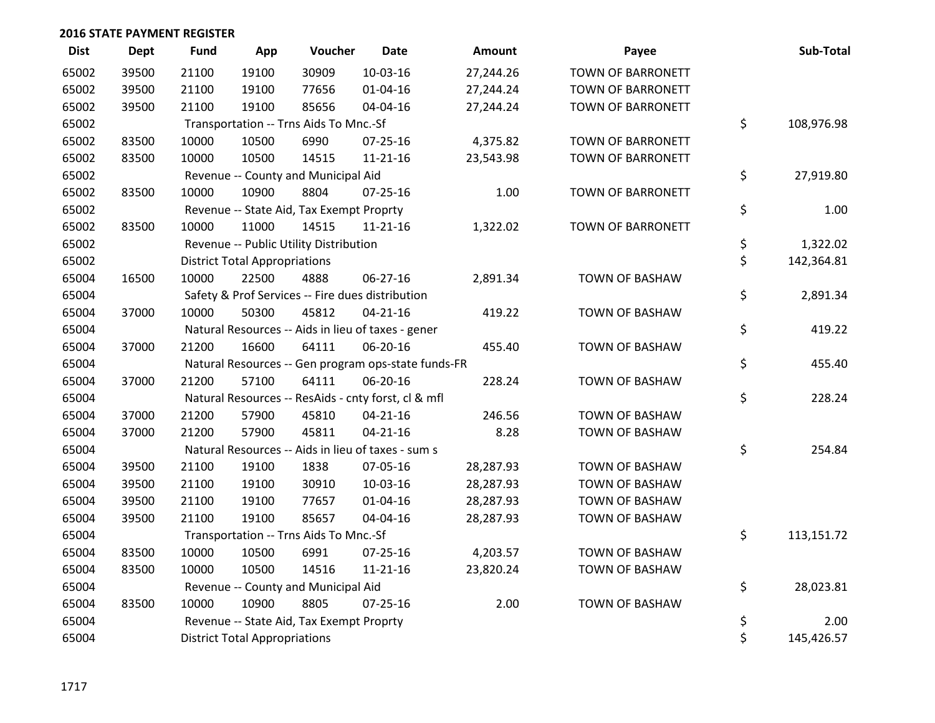| <b>Dist</b> | <b>Dept</b> | <b>Fund</b> | App                                  | Voucher                                  | <b>Date</b>                                         | <b>Amount</b> | Payee                    | Sub-Total        |
|-------------|-------------|-------------|--------------------------------------|------------------------------------------|-----------------------------------------------------|---------------|--------------------------|------------------|
| 65002       | 39500       | 21100       | 19100                                | 30909                                    | 10-03-16                                            | 27,244.26     | <b>TOWN OF BARRONETT</b> |                  |
| 65002       | 39500       | 21100       | 19100                                | 77656                                    | 01-04-16                                            | 27,244.24     | TOWN OF BARRONETT        |                  |
| 65002       | 39500       | 21100       | 19100                                | 85656                                    | 04-04-16                                            | 27,244.24     | TOWN OF BARRONETT        |                  |
| 65002       |             |             |                                      | Transportation -- Trns Aids To Mnc.-Sf   |                                                     |               |                          | \$<br>108,976.98 |
| 65002       | 83500       | 10000       | 10500                                | 6990                                     | $07 - 25 - 16$                                      | 4,375.82      | TOWN OF BARRONETT        |                  |
| 65002       | 83500       | 10000       | 10500                                | 14515                                    | $11 - 21 - 16$                                      | 23,543.98     | TOWN OF BARRONETT        |                  |
| 65002       |             |             |                                      | Revenue -- County and Municipal Aid      |                                                     |               |                          | \$<br>27,919.80  |
| 65002       | 83500       | 10000       | 10900                                | 8804                                     | $07 - 25 - 16$                                      | 1.00          | TOWN OF BARRONETT        |                  |
| 65002       |             |             |                                      | Revenue -- State Aid, Tax Exempt Proprty |                                                     |               |                          | \$<br>1.00       |
| 65002       | 83500       | 10000       | 11000                                | 14515                                    | $11 - 21 - 16$                                      | 1,322.02      | TOWN OF BARRONETT        |                  |
| 65002       |             |             |                                      | Revenue -- Public Utility Distribution   |                                                     |               |                          | \$<br>1,322.02   |
| 65002       |             |             | <b>District Total Appropriations</b> |                                          |                                                     |               |                          | \$<br>142,364.81 |
| 65004       | 16500       | 10000       | 22500                                | 4888                                     | 06-27-16                                            | 2,891.34      | TOWN OF BASHAW           |                  |
| 65004       |             |             |                                      |                                          | Safety & Prof Services -- Fire dues distribution    |               |                          | \$<br>2,891.34   |
| 65004       | 37000       | 10000       | 50300                                | 45812                                    | $04 - 21 - 16$                                      | 419.22        | <b>TOWN OF BASHAW</b>    |                  |
| 65004       |             |             |                                      |                                          | Natural Resources -- Aids in lieu of taxes - gener  |               |                          | \$<br>419.22     |
| 65004       | 37000       | 21200       | 16600                                | 64111                                    | 06-20-16                                            | 455.40        | TOWN OF BASHAW           |                  |
| 65004       |             |             |                                      |                                          | Natural Resources -- Gen program ops-state funds-FR |               |                          | \$<br>455.40     |
| 65004       | 37000       | 21200       | 57100                                | 64111                                    | 06-20-16                                            | 228.24        | TOWN OF BASHAW           |                  |
| 65004       |             |             |                                      |                                          | Natural Resources -- ResAids - cnty forst, cl & mfl |               |                          | \$<br>228.24     |
| 65004       | 37000       | 21200       | 57900                                | 45810                                    | $04 - 21 - 16$                                      | 246.56        | <b>TOWN OF BASHAW</b>    |                  |
| 65004       | 37000       | 21200       | 57900                                | 45811                                    | $04 - 21 - 16$                                      | 8.28          | TOWN OF BASHAW           |                  |
| 65004       |             |             |                                      |                                          | Natural Resources -- Aids in lieu of taxes - sum s  |               |                          | \$<br>254.84     |
| 65004       | 39500       | 21100       | 19100                                | 1838                                     | 07-05-16                                            | 28,287.93     | <b>TOWN OF BASHAW</b>    |                  |
| 65004       | 39500       | 21100       | 19100                                | 30910                                    | 10-03-16                                            | 28,287.93     | <b>TOWN OF BASHAW</b>    |                  |
| 65004       | 39500       | 21100       | 19100                                | 77657                                    | $01 - 04 - 16$                                      | 28,287.93     | <b>TOWN OF BASHAW</b>    |                  |
| 65004       | 39500       | 21100       | 19100                                | 85657                                    | 04-04-16                                            | 28,287.93     | TOWN OF BASHAW           |                  |
| 65004       |             |             |                                      | Transportation -- Trns Aids To Mnc.-Sf   |                                                     |               |                          | \$<br>113,151.72 |
| 65004       | 83500       | 10000       | 10500                                | 6991                                     | 07-25-16                                            | 4,203.57      | <b>TOWN OF BASHAW</b>    |                  |
| 65004       | 83500       | 10000       | 10500                                | 14516                                    | $11 - 21 - 16$                                      | 23,820.24     | TOWN OF BASHAW           |                  |
| 65004       |             |             |                                      | Revenue -- County and Municipal Aid      |                                                     |               |                          | \$<br>28,023.81  |
| 65004       | 83500       | 10000       | 10900                                | 8805                                     | $07 - 25 - 16$                                      | 2.00          | <b>TOWN OF BASHAW</b>    |                  |
| 65004       |             |             |                                      | Revenue -- State Aid, Tax Exempt Proprty |                                                     |               |                          | \$<br>2.00       |
| 65004       |             |             | <b>District Total Appropriations</b> |                                          |                                                     |               |                          | \$<br>145,426.57 |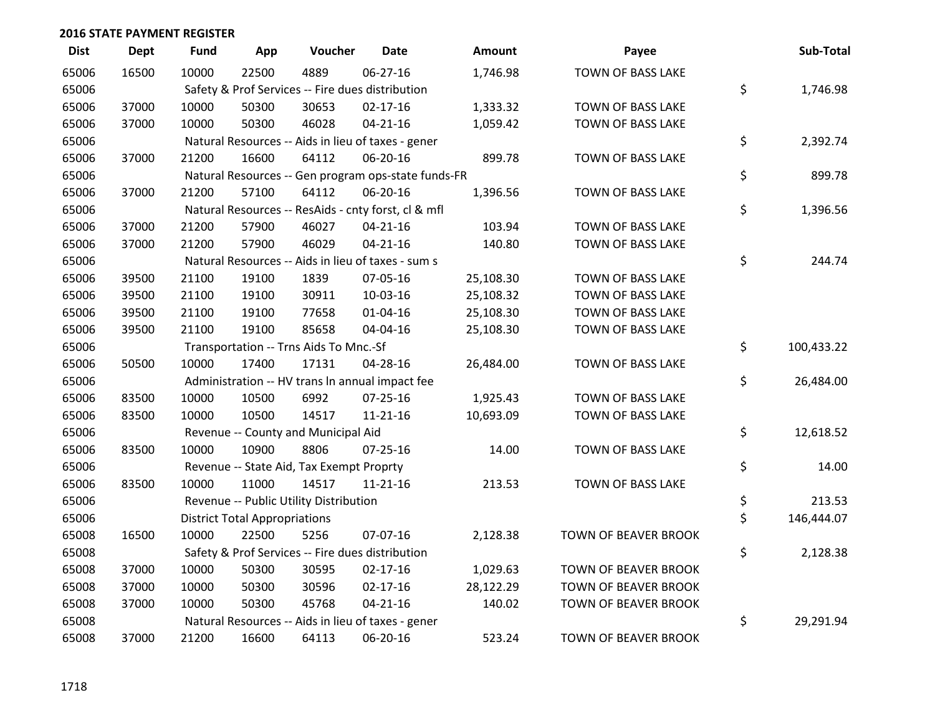| <b>Dist</b> | <b>Dept</b> | <b>Fund</b> | App                                  | Voucher                                             | <b>Date</b>    | <b>Amount</b> | Payee                       | Sub-Total        |
|-------------|-------------|-------------|--------------------------------------|-----------------------------------------------------|----------------|---------------|-----------------------------|------------------|
| 65006       | 16500       | 10000       | 22500                                | 4889                                                | $06 - 27 - 16$ | 1,746.98      | TOWN OF BASS LAKE           |                  |
| 65006       |             |             |                                      | Safety & Prof Services -- Fire dues distribution    |                |               |                             | \$<br>1,746.98   |
| 65006       | 37000       | 10000       | 50300                                | 30653                                               | $02 - 17 - 16$ | 1,333.32      | TOWN OF BASS LAKE           |                  |
| 65006       | 37000       | 10000       | 50300                                | 46028                                               | $04 - 21 - 16$ | 1,059.42      | TOWN OF BASS LAKE           |                  |
| 65006       |             |             |                                      | Natural Resources -- Aids in lieu of taxes - gener  |                |               |                             | \$<br>2,392.74   |
| 65006       | 37000       | 21200       | 16600                                | 64112                                               | 06-20-16       | 899.78        | TOWN OF BASS LAKE           |                  |
| 65006       |             |             |                                      | Natural Resources -- Gen program ops-state funds-FR |                |               |                             | \$<br>899.78     |
| 65006       | 37000       | 21200       | 57100                                | 64112                                               | 06-20-16       | 1,396.56      | TOWN OF BASS LAKE           |                  |
| 65006       |             |             |                                      | Natural Resources -- ResAids - cnty forst, cl & mfl |                |               |                             | \$<br>1,396.56   |
| 65006       | 37000       | 21200       | 57900                                | 46027                                               | $04 - 21 - 16$ | 103.94        | TOWN OF BASS LAKE           |                  |
| 65006       | 37000       | 21200       | 57900                                | 46029                                               | $04 - 21 - 16$ | 140.80        | TOWN OF BASS LAKE           |                  |
| 65006       |             |             |                                      | Natural Resources -- Aids in lieu of taxes - sum s  |                |               |                             | \$<br>244.74     |
| 65006       | 39500       | 21100       | 19100                                | 1839                                                | 07-05-16       | 25,108.30     | TOWN OF BASS LAKE           |                  |
| 65006       | 39500       | 21100       | 19100                                | 30911                                               | 10-03-16       | 25,108.32     | TOWN OF BASS LAKE           |                  |
| 65006       | 39500       | 21100       | 19100                                | 77658                                               | $01 - 04 - 16$ | 25,108.30     | TOWN OF BASS LAKE           |                  |
| 65006       | 39500       | 21100       | 19100                                | 85658                                               | 04-04-16       | 25,108.30     | TOWN OF BASS LAKE           |                  |
| 65006       |             |             |                                      | Transportation -- Trns Aids To Mnc.-Sf              |                |               |                             | \$<br>100,433.22 |
| 65006       | 50500       | 10000       | 17400                                | 17131                                               | 04-28-16       | 26,484.00     | TOWN OF BASS LAKE           |                  |
| 65006       |             |             |                                      | Administration -- HV trans In annual impact fee     |                |               |                             | \$<br>26,484.00  |
| 65006       | 83500       | 10000       | 10500                                | 6992                                                | $07 - 25 - 16$ | 1,925.43      | TOWN OF BASS LAKE           |                  |
| 65006       | 83500       | 10000       | 10500                                | 14517                                               | $11 - 21 - 16$ | 10,693.09     | TOWN OF BASS LAKE           |                  |
| 65006       |             |             |                                      | Revenue -- County and Municipal Aid                 |                |               |                             | \$<br>12,618.52  |
| 65006       | 83500       | 10000       | 10900                                | 8806                                                | $07 - 25 - 16$ | 14.00         | TOWN OF BASS LAKE           |                  |
| 65006       |             |             |                                      | Revenue -- State Aid, Tax Exempt Proprty            |                |               |                             | \$<br>14.00      |
| 65006       | 83500       | 10000       | 11000                                | 14517                                               | $11 - 21 - 16$ | 213.53        | TOWN OF BASS LAKE           |                  |
| 65006       |             |             |                                      | Revenue -- Public Utility Distribution              |                |               |                             | \$<br>213.53     |
| 65006       |             |             | <b>District Total Appropriations</b> |                                                     |                |               |                             | \$<br>146,444.07 |
| 65008       | 16500       | 10000       | 22500                                | 5256                                                | 07-07-16       | 2,128.38      | <b>TOWN OF BEAVER BROOK</b> |                  |
| 65008       |             |             |                                      | Safety & Prof Services -- Fire dues distribution    |                |               |                             | \$<br>2,128.38   |
| 65008       | 37000       | 10000       | 50300                                | 30595                                               | $02 - 17 - 16$ | 1,029.63      | <b>TOWN OF BEAVER BROOK</b> |                  |
| 65008       | 37000       | 10000       | 50300                                | 30596                                               | $02 - 17 - 16$ | 28,122.29     | TOWN OF BEAVER BROOK        |                  |
| 65008       | 37000       | 10000       | 50300                                | 45768                                               | $04 - 21 - 16$ | 140.02        | <b>TOWN OF BEAVER BROOK</b> |                  |
| 65008       |             |             |                                      | Natural Resources -- Aids in lieu of taxes - gener  |                |               |                             | \$<br>29,291.94  |
| 65008       | 37000       | 21200       | 16600                                | 64113                                               | 06-20-16       | 523.24        | <b>TOWN OF BEAVER BROOK</b> |                  |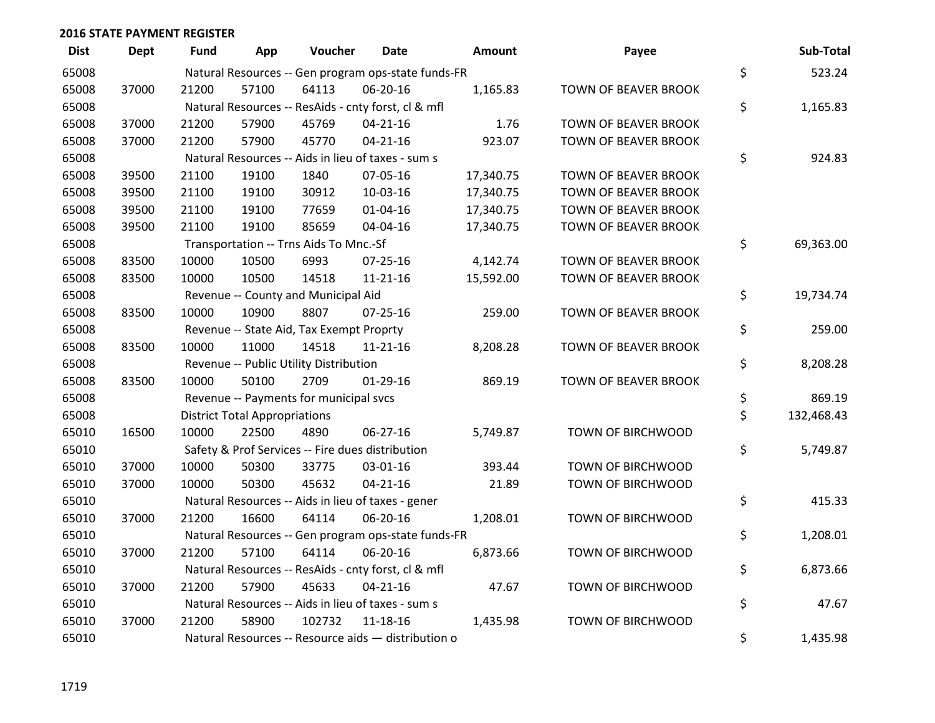| <b>Dist</b> | Dept  | Fund  | App                                  | Voucher                                  | Date                                                | <b>Amount</b> | Payee                       | Sub-Total        |
|-------------|-------|-------|--------------------------------------|------------------------------------------|-----------------------------------------------------|---------------|-----------------------------|------------------|
| 65008       |       |       |                                      |                                          | Natural Resources -- Gen program ops-state funds-FR |               |                             | \$<br>523.24     |
| 65008       | 37000 | 21200 | 57100                                | 64113                                    | 06-20-16                                            | 1,165.83      | TOWN OF BEAVER BROOK        |                  |
| 65008       |       |       |                                      |                                          | Natural Resources -- ResAids - cnty forst, cl & mfl |               |                             | \$<br>1,165.83   |
| 65008       | 37000 | 21200 | 57900                                | 45769                                    | $04 - 21 - 16$                                      | 1.76          | <b>TOWN OF BEAVER BROOK</b> |                  |
| 65008       | 37000 | 21200 | 57900                                | 45770                                    | $04 - 21 - 16$                                      | 923.07        | TOWN OF BEAVER BROOK        |                  |
| 65008       |       |       |                                      |                                          | Natural Resources -- Aids in lieu of taxes - sum s  |               |                             | \$<br>924.83     |
| 65008       | 39500 | 21100 | 19100                                | 1840                                     | 07-05-16                                            | 17,340.75     | TOWN OF BEAVER BROOK        |                  |
| 65008       | 39500 | 21100 | 19100                                | 30912                                    | 10-03-16                                            | 17,340.75     | TOWN OF BEAVER BROOK        |                  |
| 65008       | 39500 | 21100 | 19100                                | 77659                                    | 01-04-16                                            | 17,340.75     | TOWN OF BEAVER BROOK        |                  |
| 65008       | 39500 | 21100 | 19100                                | 85659                                    | 04-04-16                                            | 17,340.75     | TOWN OF BEAVER BROOK        |                  |
| 65008       |       |       |                                      | Transportation -- Trns Aids To Mnc.-Sf   |                                                     |               |                             | \$<br>69,363.00  |
| 65008       | 83500 | 10000 | 10500                                | 6993                                     | 07-25-16                                            | 4,142.74      | TOWN OF BEAVER BROOK        |                  |
| 65008       | 83500 | 10000 | 10500                                | 14518                                    | $11 - 21 - 16$                                      | 15,592.00     | TOWN OF BEAVER BROOK        |                  |
| 65008       |       |       |                                      | Revenue -- County and Municipal Aid      |                                                     |               |                             | \$<br>19,734.74  |
| 65008       | 83500 | 10000 | 10900                                | 8807                                     | $07 - 25 - 16$                                      | 259.00        | <b>TOWN OF BEAVER BROOK</b> |                  |
| 65008       |       |       |                                      | Revenue -- State Aid, Tax Exempt Proprty |                                                     |               |                             | \$<br>259.00     |
| 65008       | 83500 | 10000 | 11000                                | 14518                                    | $11 - 21 - 16$                                      | 8,208.28      | TOWN OF BEAVER BROOK        |                  |
| 65008       |       |       |                                      | Revenue -- Public Utility Distribution   |                                                     |               |                             | \$<br>8,208.28   |
| 65008       | 83500 | 10000 | 50100                                | 2709                                     | $01-29-16$                                          | 869.19        | TOWN OF BEAVER BROOK        |                  |
| 65008       |       |       |                                      | Revenue -- Payments for municipal svcs   |                                                     |               |                             | \$<br>869.19     |
| 65008       |       |       | <b>District Total Appropriations</b> |                                          |                                                     |               |                             | \$<br>132,468.43 |
| 65010       | 16500 | 10000 | 22500                                | 4890                                     | 06-27-16                                            | 5,749.87      | TOWN OF BIRCHWOOD           |                  |
| 65010       |       |       |                                      |                                          | Safety & Prof Services -- Fire dues distribution    |               |                             | \$<br>5,749.87   |
| 65010       | 37000 | 10000 | 50300                                | 33775                                    | 03-01-16                                            | 393.44        | TOWN OF BIRCHWOOD           |                  |
| 65010       | 37000 | 10000 | 50300                                | 45632                                    | $04 - 21 - 16$                                      | 21.89         | TOWN OF BIRCHWOOD           |                  |
| 65010       |       |       |                                      |                                          | Natural Resources -- Aids in lieu of taxes - gener  |               |                             | \$<br>415.33     |
| 65010       | 37000 | 21200 | 16600                                | 64114                                    | 06-20-16                                            | 1,208.01      | TOWN OF BIRCHWOOD           |                  |
| 65010       |       |       |                                      |                                          | Natural Resources -- Gen program ops-state funds-FR |               |                             | \$<br>1,208.01   |
| 65010       | 37000 | 21200 | 57100                                | 64114                                    | 06-20-16                                            | 6,873.66      | TOWN OF BIRCHWOOD           |                  |
| 65010       |       |       |                                      |                                          | Natural Resources -- ResAids - cnty forst, cl & mfl |               |                             | \$<br>6,873.66   |
| 65010       | 37000 | 21200 | 57900                                | 45633                                    | $04 - 21 - 16$                                      | 47.67         | TOWN OF BIRCHWOOD           |                  |
| 65010       |       |       |                                      |                                          | Natural Resources -- Aids in lieu of taxes - sum s  |               |                             | \$<br>47.67      |
| 65010       | 37000 | 21200 | 58900                                | 102732                                   | $11 - 18 - 16$                                      | 1,435.98      | TOWN OF BIRCHWOOD           |                  |
| 65010       |       |       |                                      |                                          | Natural Resources -- Resource aids - distribution o |               |                             | \$<br>1,435.98   |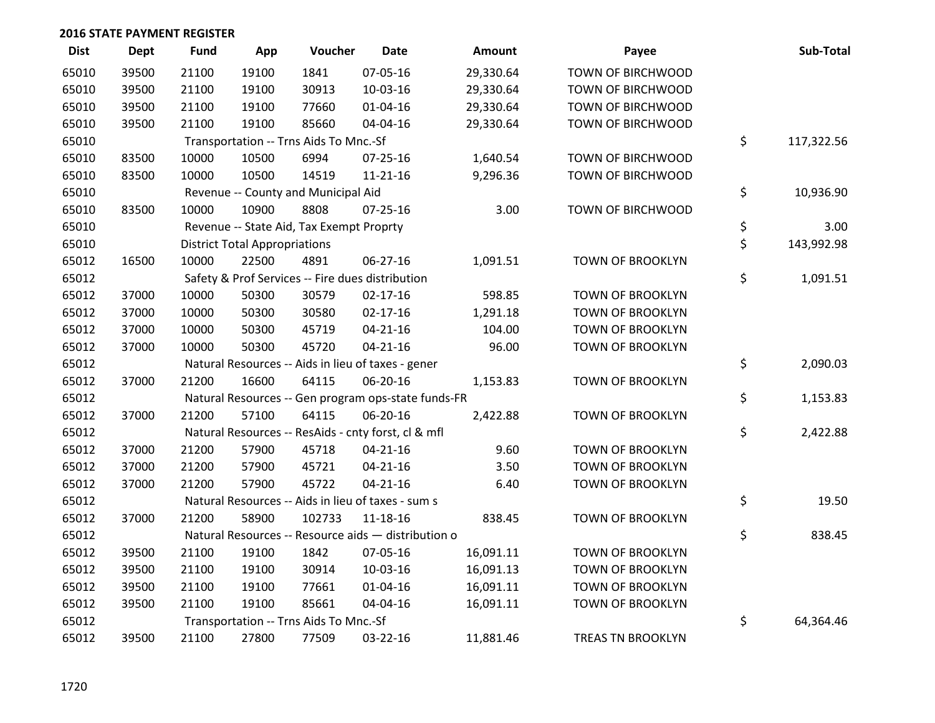| <b>Dist</b> | <b>Dept</b> | <b>Fund</b> | App                                  | Voucher                                  | <b>Date</b>                                         | Amount    | Payee                    | Sub-Total        |
|-------------|-------------|-------------|--------------------------------------|------------------------------------------|-----------------------------------------------------|-----------|--------------------------|------------------|
| 65010       | 39500       | 21100       | 19100                                | 1841                                     | 07-05-16                                            | 29,330.64 | TOWN OF BIRCHWOOD        |                  |
| 65010       | 39500       | 21100       | 19100                                | 30913                                    | 10-03-16                                            | 29,330.64 | TOWN OF BIRCHWOOD        |                  |
| 65010       | 39500       | 21100       | 19100                                | 77660                                    | 01-04-16                                            | 29,330.64 | TOWN OF BIRCHWOOD        |                  |
| 65010       | 39500       | 21100       | 19100                                | 85660                                    | 04-04-16                                            | 29,330.64 | TOWN OF BIRCHWOOD        |                  |
| 65010       |             |             |                                      | Transportation -- Trns Aids To Mnc.-Sf   |                                                     |           |                          | \$<br>117,322.56 |
| 65010       | 83500       | 10000       | 10500                                | 6994                                     | $07 - 25 - 16$                                      | 1,640.54  | TOWN OF BIRCHWOOD        |                  |
| 65010       | 83500       | 10000       | 10500                                | 14519                                    | 11-21-16                                            | 9,296.36  | TOWN OF BIRCHWOOD        |                  |
| 65010       |             |             |                                      | Revenue -- County and Municipal Aid      |                                                     |           |                          | \$<br>10,936.90  |
| 65010       | 83500       | 10000       | 10900                                | 8808                                     | $07 - 25 - 16$                                      | 3.00      | TOWN OF BIRCHWOOD        |                  |
| 65010       |             |             |                                      | Revenue -- State Aid, Tax Exempt Proprty |                                                     |           |                          | \$<br>3.00       |
| 65010       |             |             | <b>District Total Appropriations</b> |                                          |                                                     |           |                          | \$<br>143,992.98 |
| 65012       | 16500       | 10000       | 22500                                | 4891                                     | 06-27-16                                            | 1,091.51  | TOWN OF BROOKLYN         |                  |
| 65012       |             |             |                                      |                                          | Safety & Prof Services -- Fire dues distribution    |           |                          | \$<br>1,091.51   |
| 65012       | 37000       | 10000       | 50300                                | 30579                                    | $02 - 17 - 16$                                      | 598.85    | <b>TOWN OF BROOKLYN</b>  |                  |
| 65012       | 37000       | 10000       | 50300                                | 30580                                    | $02 - 17 - 16$                                      | 1,291.18  | <b>TOWN OF BROOKLYN</b>  |                  |
| 65012       | 37000       | 10000       | 50300                                | 45719                                    | $04 - 21 - 16$                                      | 104.00    | TOWN OF BROOKLYN         |                  |
| 65012       | 37000       | 10000       | 50300                                | 45720                                    | $04 - 21 - 16$                                      | 96.00     | TOWN OF BROOKLYN         |                  |
| 65012       |             |             |                                      |                                          | Natural Resources -- Aids in lieu of taxes - gener  |           |                          | \$<br>2,090.03   |
| 65012       | 37000       | 21200       | 16600                                | 64115                                    | 06-20-16                                            | 1,153.83  | <b>TOWN OF BROOKLYN</b>  |                  |
| 65012       |             |             |                                      |                                          | Natural Resources -- Gen program ops-state funds-FR |           |                          | \$<br>1,153.83   |
| 65012       | 37000       | 21200       | 57100                                | 64115                                    | 06-20-16                                            | 2,422.88  | TOWN OF BROOKLYN         |                  |
| 65012       |             |             |                                      |                                          | Natural Resources -- ResAids - cnty forst, cl & mfl |           |                          | \$<br>2,422.88   |
| 65012       | 37000       | 21200       | 57900                                | 45718                                    | $04 - 21 - 16$                                      | 9.60      | <b>TOWN OF BROOKLYN</b>  |                  |
| 65012       | 37000       | 21200       | 57900                                | 45721                                    | $04 - 21 - 16$                                      | 3.50      | <b>TOWN OF BROOKLYN</b>  |                  |
| 65012       | 37000       | 21200       | 57900                                | 45722                                    | $04 - 21 - 16$                                      | 6.40      | TOWN OF BROOKLYN         |                  |
| 65012       |             |             |                                      |                                          | Natural Resources -- Aids in lieu of taxes - sum s  |           |                          | \$<br>19.50      |
| 65012       | 37000       | 21200       | 58900                                | 102733                                   | 11-18-16                                            | 838.45    | <b>TOWN OF BROOKLYN</b>  |                  |
| 65012       |             |             |                                      |                                          | Natural Resources -- Resource aids - distribution o |           |                          | \$<br>838.45     |
| 65012       | 39500       | 21100       | 19100                                | 1842                                     | 07-05-16                                            | 16,091.11 | <b>TOWN OF BROOKLYN</b>  |                  |
| 65012       | 39500       | 21100       | 19100                                | 30914                                    | 10-03-16                                            | 16,091.13 | <b>TOWN OF BROOKLYN</b>  |                  |
| 65012       | 39500       | 21100       | 19100                                | 77661                                    | 01-04-16                                            | 16,091.11 | TOWN OF BROOKLYN         |                  |
| 65012       | 39500       | 21100       | 19100                                | 85661                                    | 04-04-16                                            | 16,091.11 | <b>TOWN OF BROOKLYN</b>  |                  |
| 65012       |             |             |                                      | Transportation -- Trns Aids To Mnc.-Sf   |                                                     |           |                          | \$<br>64,364.46  |
| 65012       | 39500       | 21100       | 27800                                | 77509                                    | 03-22-16                                            | 11,881.46 | <b>TREAS TN BROOKLYN</b> |                  |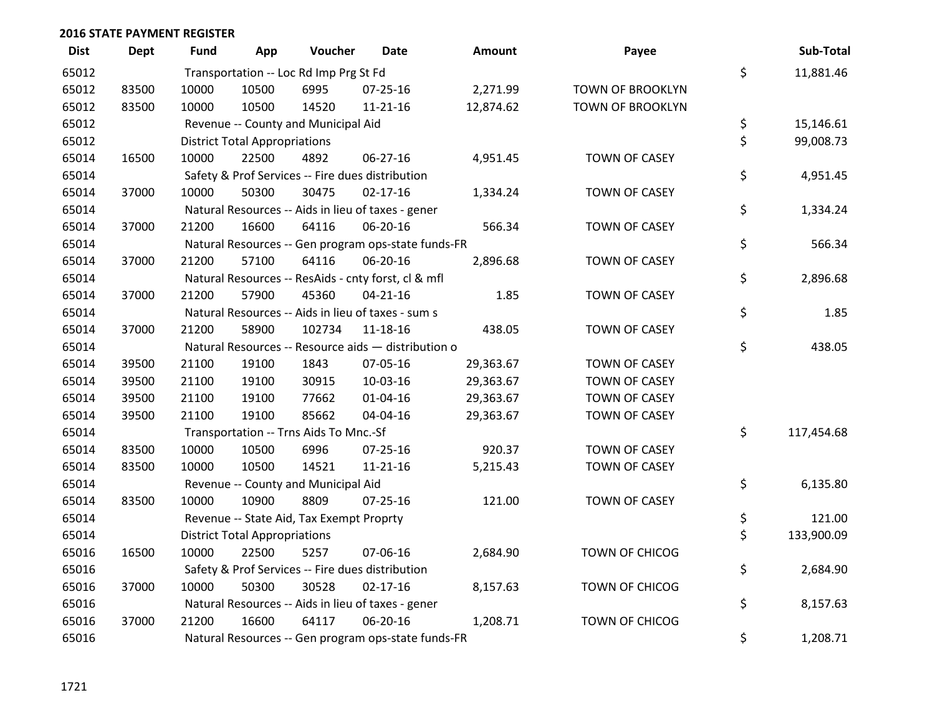| <b>Dist</b> | <b>Dept</b> | <b>Fund</b> | App                                  | Voucher                                  | <b>Date</b>                                         | <b>Amount</b> | Payee                   | Sub-Total        |
|-------------|-------------|-------------|--------------------------------------|------------------------------------------|-----------------------------------------------------|---------------|-------------------------|------------------|
| 65012       |             |             |                                      | Transportation -- Loc Rd Imp Prg St Fd   |                                                     |               |                         | \$<br>11,881.46  |
| 65012       | 83500       | 10000       | 10500                                | 6995                                     | 07-25-16                                            | 2,271.99      | TOWN OF BROOKLYN        |                  |
| 65012       | 83500       | 10000       | 10500                                | 14520                                    | 11-21-16                                            | 12,874.62     | <b>TOWN OF BROOKLYN</b> |                  |
| 65012       |             |             |                                      | Revenue -- County and Municipal Aid      |                                                     |               |                         | \$<br>15,146.61  |
| 65012       |             |             | <b>District Total Appropriations</b> |                                          |                                                     |               |                         | \$<br>99,008.73  |
| 65014       | 16500       | 10000       | 22500                                | 4892                                     | 06-27-16                                            | 4,951.45      | <b>TOWN OF CASEY</b>    |                  |
| 65014       |             |             |                                      |                                          | Safety & Prof Services -- Fire dues distribution    |               |                         | \$<br>4,951.45   |
| 65014       | 37000       | 10000       | 50300                                | 30475                                    | $02 - 17 - 16$                                      | 1,334.24      | <b>TOWN OF CASEY</b>    |                  |
| 65014       |             |             |                                      |                                          | Natural Resources -- Aids in lieu of taxes - gener  |               |                         | \$<br>1,334.24   |
| 65014       | 37000       | 21200       | 16600                                | 64116                                    | 06-20-16                                            | 566.34        | <b>TOWN OF CASEY</b>    |                  |
| 65014       |             |             |                                      |                                          | Natural Resources -- Gen program ops-state funds-FR |               |                         | \$<br>566.34     |
| 65014       | 37000       | 21200       | 57100                                | 64116                                    | 06-20-16                                            | 2,896.68      | <b>TOWN OF CASEY</b>    |                  |
| 65014       |             |             |                                      |                                          | Natural Resources -- ResAids - cnty forst, cl & mfl |               |                         | \$<br>2,896.68   |
| 65014       | 37000       | 21200       | 57900                                | 45360                                    | $04 - 21 - 16$                                      | 1.85          | <b>TOWN OF CASEY</b>    |                  |
| 65014       |             |             |                                      |                                          | Natural Resources -- Aids in lieu of taxes - sum s  |               |                         | \$<br>1.85       |
| 65014       | 37000       | 21200       | 58900                                | 102734                                   | 11-18-16                                            | 438.05        | <b>TOWN OF CASEY</b>    |                  |
| 65014       |             |             |                                      |                                          | Natural Resources -- Resource aids - distribution o |               |                         | \$<br>438.05     |
| 65014       | 39500       | 21100       | 19100                                | 1843                                     | 07-05-16                                            | 29,363.67     | <b>TOWN OF CASEY</b>    |                  |
| 65014       | 39500       | 21100       | 19100                                | 30915                                    | 10-03-16                                            | 29,363.67     | <b>TOWN OF CASEY</b>    |                  |
| 65014       | 39500       | 21100       | 19100                                | 77662                                    | 01-04-16                                            | 29,363.67     | <b>TOWN OF CASEY</b>    |                  |
| 65014       | 39500       | 21100       | 19100                                | 85662                                    | 04-04-16                                            | 29,363.67     | <b>TOWN OF CASEY</b>    |                  |
| 65014       |             |             |                                      | Transportation -- Trns Aids To Mnc.-Sf   |                                                     |               |                         | \$<br>117,454.68 |
| 65014       | 83500       | 10000       | 10500                                | 6996                                     | $07 - 25 - 16$                                      | 920.37        | TOWN OF CASEY           |                  |
| 65014       | 83500       | 10000       | 10500                                | 14521                                    | 11-21-16                                            | 5,215.43      | <b>TOWN OF CASEY</b>    |                  |
| 65014       |             |             |                                      | Revenue -- County and Municipal Aid      |                                                     |               |                         | \$<br>6,135.80   |
| 65014       | 83500       | 10000       | 10900                                | 8809                                     | $07 - 25 - 16$                                      | 121.00        | <b>TOWN OF CASEY</b>    |                  |
| 65014       |             |             |                                      | Revenue -- State Aid, Tax Exempt Proprty |                                                     |               |                         | \$<br>121.00     |
| 65014       |             |             | <b>District Total Appropriations</b> |                                          |                                                     |               |                         | \$<br>133,900.09 |
| 65016       | 16500       | 10000       | 22500                                | 5257                                     | 07-06-16                                            | 2,684.90      | TOWN OF CHICOG          |                  |
| 65016       |             |             |                                      |                                          | Safety & Prof Services -- Fire dues distribution    |               |                         | \$<br>2,684.90   |
| 65016       | 37000       | 10000       | 50300                                | 30528                                    | $02 - 17 - 16$                                      | 8,157.63      | TOWN OF CHICOG          |                  |
| 65016       |             |             |                                      |                                          | Natural Resources -- Aids in lieu of taxes - gener  |               |                         | \$<br>8,157.63   |
| 65016       | 37000       | 21200       | 16600                                | 64117                                    | 06-20-16                                            | 1,208.71      | TOWN OF CHICOG          |                  |
| 65016       |             |             |                                      |                                          | Natural Resources -- Gen program ops-state funds-FR |               |                         | \$<br>1,208.71   |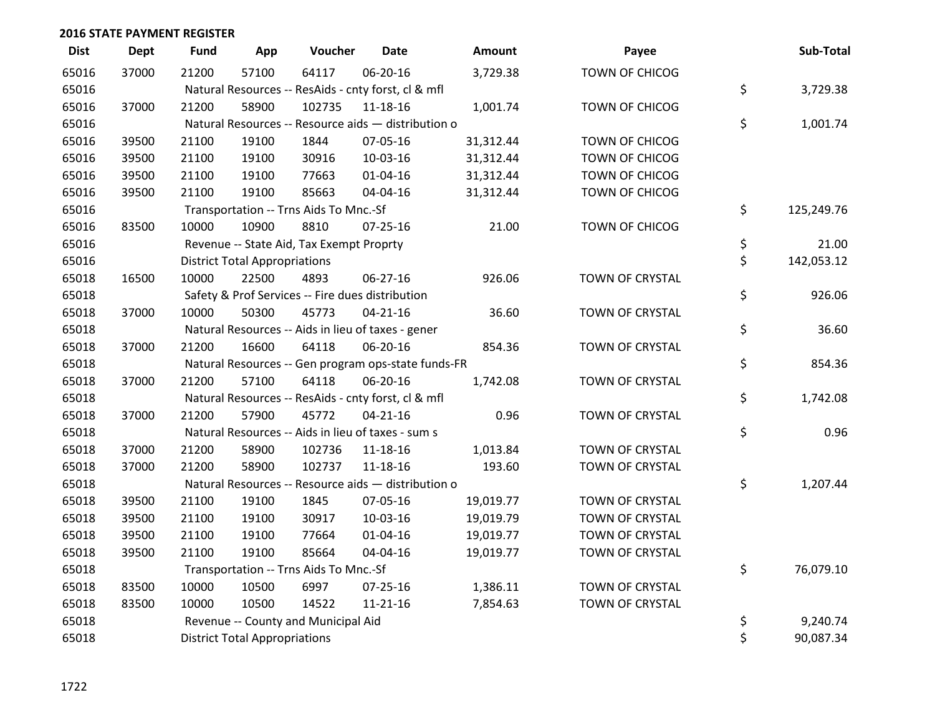| <b>Dist</b> | <b>Dept</b> | <b>Fund</b> | App                                  | Voucher                                             | <b>Date</b>    | Amount    | Payee                  | Sub-Total        |
|-------------|-------------|-------------|--------------------------------------|-----------------------------------------------------|----------------|-----------|------------------------|------------------|
| 65016       | 37000       | 21200       | 57100                                | 64117                                               | 06-20-16       | 3,729.38  | TOWN OF CHICOG         |                  |
| 65016       |             |             |                                      | Natural Resources -- ResAids - cnty forst, cl & mfl |                |           |                        | \$<br>3,729.38   |
| 65016       | 37000       | 21200       | 58900                                | 102735                                              | 11-18-16       | 1,001.74  | TOWN OF CHICOG         |                  |
| 65016       |             |             |                                      | Natural Resources -- Resource aids - distribution o |                |           |                        | \$<br>1,001.74   |
| 65016       | 39500       | 21100       | 19100                                | 1844                                                | 07-05-16       | 31,312.44 | TOWN OF CHICOG         |                  |
| 65016       | 39500       | 21100       | 19100                                | 30916                                               | 10-03-16       | 31,312.44 | <b>TOWN OF CHICOG</b>  |                  |
| 65016       | 39500       | 21100       | 19100                                | 77663                                               | $01 - 04 - 16$ | 31,312.44 | TOWN OF CHICOG         |                  |
| 65016       | 39500       | 21100       | 19100                                | 85663                                               | 04-04-16       | 31,312.44 | TOWN OF CHICOG         |                  |
| 65016       |             |             |                                      | Transportation -- Trns Aids To Mnc.-Sf              |                |           |                        | \$<br>125,249.76 |
| 65016       | 83500       | 10000       | 10900                                | 8810                                                | $07 - 25 - 16$ | 21.00     | TOWN OF CHICOG         |                  |
| 65016       |             |             |                                      | Revenue -- State Aid, Tax Exempt Proprty            |                |           |                        | \$<br>21.00      |
| 65016       |             |             | <b>District Total Appropriations</b> |                                                     |                |           |                        | \$<br>142,053.12 |
| 65018       | 16500       | 10000       | 22500                                | 4893                                                | 06-27-16       | 926.06    | TOWN OF CRYSTAL        |                  |
| 65018       |             |             |                                      | Safety & Prof Services -- Fire dues distribution    |                |           |                        | \$<br>926.06     |
| 65018       | 37000       | 10000       | 50300                                | 45773                                               | $04 - 21 - 16$ | 36.60     | TOWN OF CRYSTAL        |                  |
| 65018       |             |             |                                      | Natural Resources -- Aids in lieu of taxes - gener  |                |           |                        | \$<br>36.60      |
| 65018       | 37000       | 21200       | 16600                                | 64118                                               | 06-20-16       | 854.36    | <b>TOWN OF CRYSTAL</b> |                  |
| 65018       |             |             |                                      | Natural Resources -- Gen program ops-state funds-FR |                |           |                        | \$<br>854.36     |
| 65018       | 37000       | 21200       | 57100                                | 64118                                               | 06-20-16       | 1,742.08  | TOWN OF CRYSTAL        |                  |
| 65018       |             |             |                                      | Natural Resources -- ResAids - cnty forst, cl & mfl |                |           |                        | \$<br>1,742.08   |
| 65018       | 37000       | 21200       | 57900                                | 45772                                               | $04 - 21 - 16$ | 0.96      | TOWN OF CRYSTAL        |                  |
| 65018       |             |             |                                      | Natural Resources -- Aids in lieu of taxes - sum s  |                |           |                        | \$<br>0.96       |
| 65018       | 37000       | 21200       | 58900                                | 102736                                              | 11-18-16       | 1,013.84  | TOWN OF CRYSTAL        |                  |
| 65018       | 37000       | 21200       | 58900                                | 102737                                              | $11 - 18 - 16$ | 193.60    | TOWN OF CRYSTAL        |                  |
| 65018       |             |             |                                      | Natural Resources -- Resource aids - distribution o |                |           |                        | \$<br>1,207.44   |
| 65018       | 39500       | 21100       | 19100                                | 1845                                                | 07-05-16       | 19,019.77 | TOWN OF CRYSTAL        |                  |
| 65018       | 39500       | 21100       | 19100                                | 30917                                               | 10-03-16       | 19,019.79 | TOWN OF CRYSTAL        |                  |
| 65018       | 39500       | 21100       | 19100                                | 77664                                               | 01-04-16       | 19,019.77 | TOWN OF CRYSTAL        |                  |
| 65018       | 39500       | 21100       | 19100                                | 85664                                               | 04-04-16       | 19,019.77 | TOWN OF CRYSTAL        |                  |
| 65018       |             |             |                                      | Transportation -- Trns Aids To Mnc.-Sf              |                |           |                        | \$<br>76,079.10  |
| 65018       | 83500       | 10000       | 10500                                | 6997                                                | $07 - 25 - 16$ | 1,386.11  | <b>TOWN OF CRYSTAL</b> |                  |
| 65018       | 83500       | 10000       | 10500                                | 14522                                               | $11 - 21 - 16$ | 7,854.63  | TOWN OF CRYSTAL        |                  |
| 65018       |             |             |                                      | Revenue -- County and Municipal Aid                 |                |           |                        | \$<br>9,240.74   |
| 65018       |             |             | <b>District Total Appropriations</b> |                                                     |                |           |                        | \$<br>90,087.34  |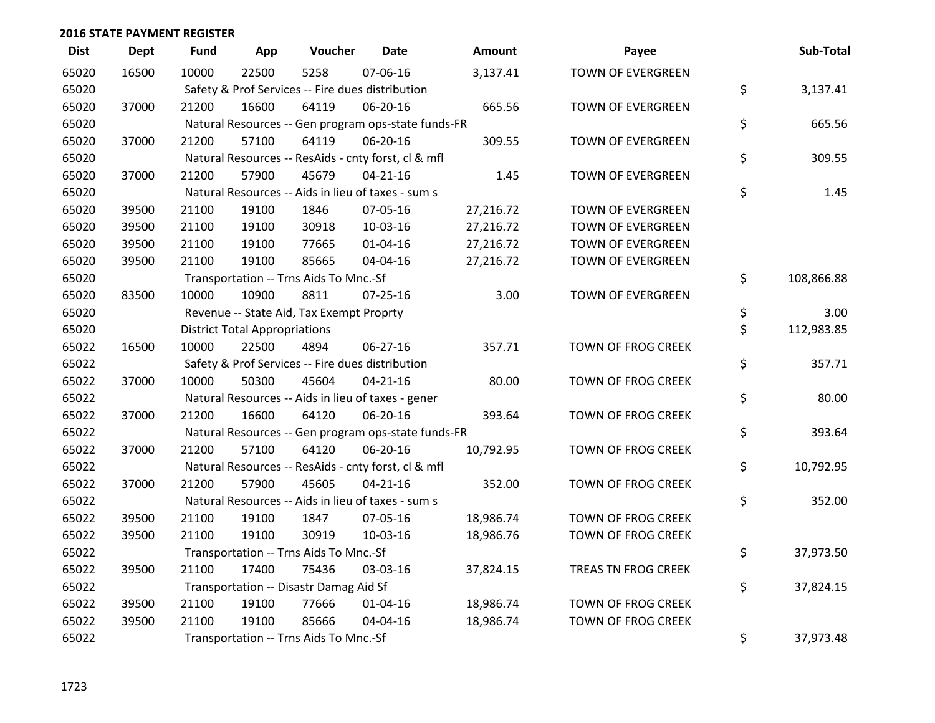| <b>Dist</b> | <b>Dept</b> | <b>Fund</b> | App                                  | Voucher                                             | <b>Date</b>    | Amount    | Payee                    | Sub-Total        |
|-------------|-------------|-------------|--------------------------------------|-----------------------------------------------------|----------------|-----------|--------------------------|------------------|
| 65020       | 16500       | 10000       | 22500                                | 5258                                                | 07-06-16       | 3,137.41  | <b>TOWN OF EVERGREEN</b> |                  |
| 65020       |             |             |                                      | Safety & Prof Services -- Fire dues distribution    |                |           |                          | \$<br>3,137.41   |
| 65020       | 37000       | 21200       | 16600                                | 64119                                               | 06-20-16       | 665.56    | <b>TOWN OF EVERGREEN</b> |                  |
| 65020       |             |             |                                      | Natural Resources -- Gen program ops-state funds-FR |                |           |                          | \$<br>665.56     |
| 65020       | 37000       | 21200       | 57100                                | 64119                                               | 06-20-16       | 309.55    | TOWN OF EVERGREEN        |                  |
| 65020       |             |             |                                      | Natural Resources -- ResAids - cnty forst, cl & mfl |                |           |                          | \$<br>309.55     |
| 65020       | 37000       | 21200       | 57900                                | 45679                                               | $04 - 21 - 16$ | 1.45      | TOWN OF EVERGREEN        |                  |
| 65020       |             |             |                                      | Natural Resources -- Aids in lieu of taxes - sum s  |                |           |                          | \$<br>1.45       |
| 65020       | 39500       | 21100       | 19100                                | 1846                                                | 07-05-16       | 27,216.72 | <b>TOWN OF EVERGREEN</b> |                  |
| 65020       | 39500       | 21100       | 19100                                | 30918                                               | 10-03-16       | 27,216.72 | TOWN OF EVERGREEN        |                  |
| 65020       | 39500       | 21100       | 19100                                | 77665                                               | 01-04-16       | 27,216.72 | TOWN OF EVERGREEN        |                  |
| 65020       | 39500       | 21100       | 19100                                | 85665                                               | 04-04-16       | 27,216.72 | TOWN OF EVERGREEN        |                  |
| 65020       |             |             |                                      | Transportation -- Trns Aids To Mnc.-Sf              |                |           |                          | \$<br>108,866.88 |
| 65020       | 83500       | 10000       | 10900                                | 8811                                                | $07 - 25 - 16$ | 3.00      | TOWN OF EVERGREEN        |                  |
| 65020       |             |             |                                      | Revenue -- State Aid, Tax Exempt Proprty            |                |           |                          | \$<br>3.00       |
| 65020       |             |             | <b>District Total Appropriations</b> |                                                     |                |           |                          | \$<br>112,983.85 |
| 65022       | 16500       | 10000       | 22500                                | 4894                                                | 06-27-16       | 357.71    | TOWN OF FROG CREEK       |                  |
| 65022       |             |             |                                      | Safety & Prof Services -- Fire dues distribution    |                |           |                          | \$<br>357.71     |
| 65022       | 37000       | 10000       | 50300                                | 45604                                               | $04 - 21 - 16$ | 80.00     | TOWN OF FROG CREEK       |                  |
| 65022       |             |             |                                      | Natural Resources -- Aids in lieu of taxes - gener  |                |           |                          | \$<br>80.00      |
| 65022       | 37000       | 21200       | 16600                                | 64120                                               | 06-20-16       | 393.64    | TOWN OF FROG CREEK       |                  |
| 65022       |             |             |                                      | Natural Resources -- Gen program ops-state funds-FR |                |           |                          | \$<br>393.64     |
| 65022       | 37000       | 21200       | 57100                                | 64120                                               | 06-20-16       | 10,792.95 | TOWN OF FROG CREEK       |                  |
| 65022       |             |             |                                      | Natural Resources -- ResAids - cnty forst, cl & mfl |                |           |                          | \$<br>10,792.95  |
| 65022       | 37000       | 21200       | 57900                                | 45605                                               | $04 - 21 - 16$ | 352.00    | TOWN OF FROG CREEK       |                  |
| 65022       |             |             |                                      | Natural Resources -- Aids in lieu of taxes - sum s  |                |           |                          | \$<br>352.00     |
| 65022       | 39500       | 21100       | 19100                                | 1847                                                | 07-05-16       | 18,986.74 | TOWN OF FROG CREEK       |                  |
| 65022       | 39500       | 21100       | 19100                                | 30919                                               | 10-03-16       | 18,986.76 | TOWN OF FROG CREEK       |                  |
| 65022       |             |             |                                      | Transportation -- Trns Aids To Mnc.-Sf              |                |           |                          | \$<br>37,973.50  |
| 65022       | 39500       | 21100       | 17400                                | 75436                                               | 03-03-16       | 37,824.15 | TREAS TN FROG CREEK      |                  |
| 65022       |             |             |                                      | Transportation -- Disastr Damag Aid Sf              |                |           |                          | \$<br>37,824.15  |
| 65022       | 39500       | 21100       | 19100                                | 77666                                               | $01 - 04 - 16$ | 18,986.74 | TOWN OF FROG CREEK       |                  |
| 65022       | 39500       | 21100       | 19100                                | 85666                                               | 04-04-16       | 18,986.74 | TOWN OF FROG CREEK       |                  |
| 65022       |             |             |                                      | Transportation -- Trns Aids To Mnc.-Sf              |                |           |                          | \$<br>37,973.48  |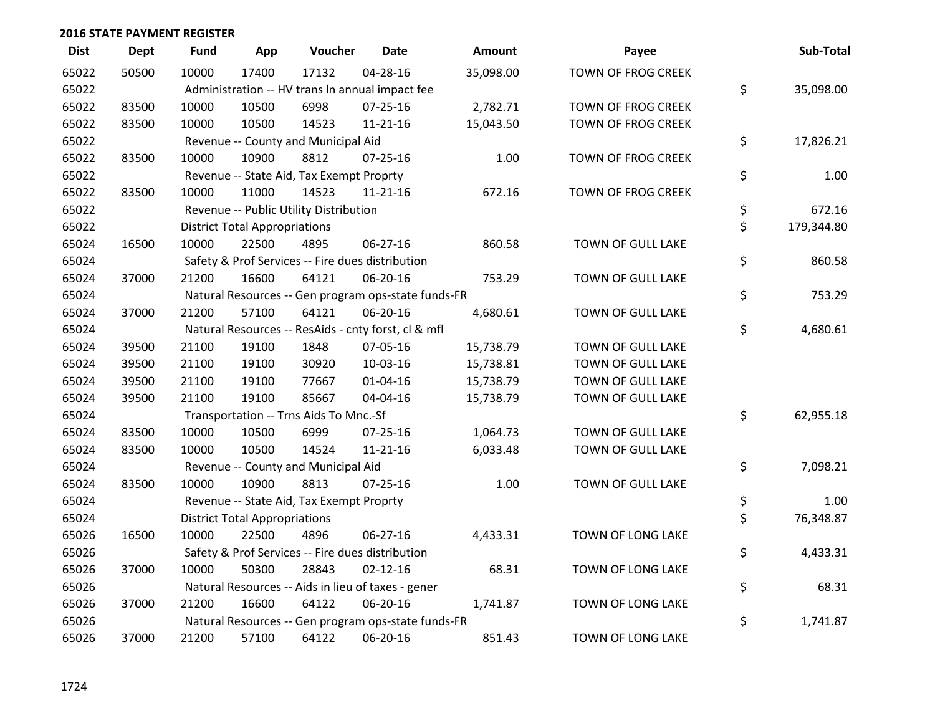| <b>Dist</b> | <b>Dept</b> | <b>Fund</b> | App                                  | Voucher                                             | <b>Date</b>    | <b>Amount</b> | Payee                     | Sub-Total        |
|-------------|-------------|-------------|--------------------------------------|-----------------------------------------------------|----------------|---------------|---------------------------|------------------|
| 65022       | 50500       | 10000       | 17400                                | 17132                                               | 04-28-16       | 35,098.00     | <b>TOWN OF FROG CREEK</b> |                  |
| 65022       |             |             |                                      | Administration -- HV trans In annual impact fee     |                |               |                           | \$<br>35,098.00  |
| 65022       | 83500       | 10000       | 10500                                | 6998                                                | 07-25-16       | 2,782.71      | TOWN OF FROG CREEK        |                  |
| 65022       | 83500       | 10000       | 10500                                | 14523                                               | 11-21-16       | 15,043.50     | TOWN OF FROG CREEK        |                  |
| 65022       |             |             |                                      | Revenue -- County and Municipal Aid                 |                |               |                           | \$<br>17,826.21  |
| 65022       | 83500       | 10000       | 10900                                | 8812                                                | $07 - 25 - 16$ | 1.00          | TOWN OF FROG CREEK        |                  |
| 65022       |             |             |                                      | Revenue -- State Aid, Tax Exempt Proprty            |                |               |                           | \$<br>1.00       |
| 65022       | 83500       | 10000       | 11000                                | 14523                                               | $11 - 21 - 16$ | 672.16        | TOWN OF FROG CREEK        |                  |
| 65022       |             |             |                                      | Revenue -- Public Utility Distribution              |                |               |                           | \$<br>672.16     |
| 65022       |             |             | <b>District Total Appropriations</b> |                                                     |                |               |                           | \$<br>179,344.80 |
| 65024       | 16500       | 10000       | 22500                                | 4895                                                | 06-27-16       | 860.58        | TOWN OF GULL LAKE         |                  |
| 65024       |             |             |                                      | Safety & Prof Services -- Fire dues distribution    |                |               |                           | \$<br>860.58     |
| 65024       | 37000       | 21200       | 16600                                | 64121                                               | 06-20-16       | 753.29        | TOWN OF GULL LAKE         |                  |
| 65024       |             |             |                                      | Natural Resources -- Gen program ops-state funds-FR |                |               |                           | \$<br>753.29     |
| 65024       | 37000       | 21200       | 57100                                | 64121                                               | 06-20-16       | 4,680.61      | TOWN OF GULL LAKE         |                  |
| 65024       |             |             |                                      | Natural Resources -- ResAids - cnty forst, cl & mfl |                |               |                           | \$<br>4,680.61   |
| 65024       | 39500       | 21100       | 19100                                | 1848                                                | 07-05-16       | 15,738.79     | TOWN OF GULL LAKE         |                  |
| 65024       | 39500       | 21100       | 19100                                | 30920                                               | 10-03-16       | 15,738.81     | TOWN OF GULL LAKE         |                  |
| 65024       | 39500       | 21100       | 19100                                | 77667                                               | $01 - 04 - 16$ | 15,738.79     | TOWN OF GULL LAKE         |                  |
| 65024       | 39500       | 21100       | 19100                                | 85667                                               | 04-04-16       | 15,738.79     | TOWN OF GULL LAKE         |                  |
| 65024       |             |             |                                      | Transportation -- Trns Aids To Mnc.-Sf              |                |               |                           | \$<br>62,955.18  |
| 65024       | 83500       | 10000       | 10500                                | 6999                                                | $07 - 25 - 16$ | 1,064.73      | TOWN OF GULL LAKE         |                  |
| 65024       | 83500       | 10000       | 10500                                | 14524                                               | $11 - 21 - 16$ | 6,033.48      | TOWN OF GULL LAKE         |                  |
| 65024       |             |             |                                      | Revenue -- County and Municipal Aid                 |                |               |                           | \$<br>7,098.21   |
| 65024       | 83500       | 10000       | 10900                                | 8813                                                | $07 - 25 - 16$ | 1.00          | TOWN OF GULL LAKE         |                  |
| 65024       |             |             |                                      | Revenue -- State Aid, Tax Exempt Proprty            |                |               |                           | \$<br>1.00       |
| 65024       |             |             | <b>District Total Appropriations</b> |                                                     |                |               |                           | \$<br>76,348.87  |
| 65026       | 16500       | 10000       | 22500                                | 4896                                                | $06 - 27 - 16$ | 4,433.31      | TOWN OF LONG LAKE         |                  |
| 65026       |             |             |                                      | Safety & Prof Services -- Fire dues distribution    |                |               |                           | \$<br>4,433.31   |
| 65026       | 37000       | 10000       | 50300                                | 28843                                               | $02 - 12 - 16$ | 68.31         | TOWN OF LONG LAKE         |                  |
| 65026       |             |             |                                      | Natural Resources -- Aids in lieu of taxes - gener  |                |               |                           | \$<br>68.31      |
| 65026       | 37000       | 21200       | 16600                                | 64122                                               | 06-20-16       | 1,741.87      | TOWN OF LONG LAKE         |                  |
| 65026       |             |             |                                      | Natural Resources -- Gen program ops-state funds-FR |                |               |                           | \$<br>1,741.87   |
| 65026       | 37000       | 21200       | 57100                                | 64122                                               | 06-20-16       | 851.43        | TOWN OF LONG LAKE         |                  |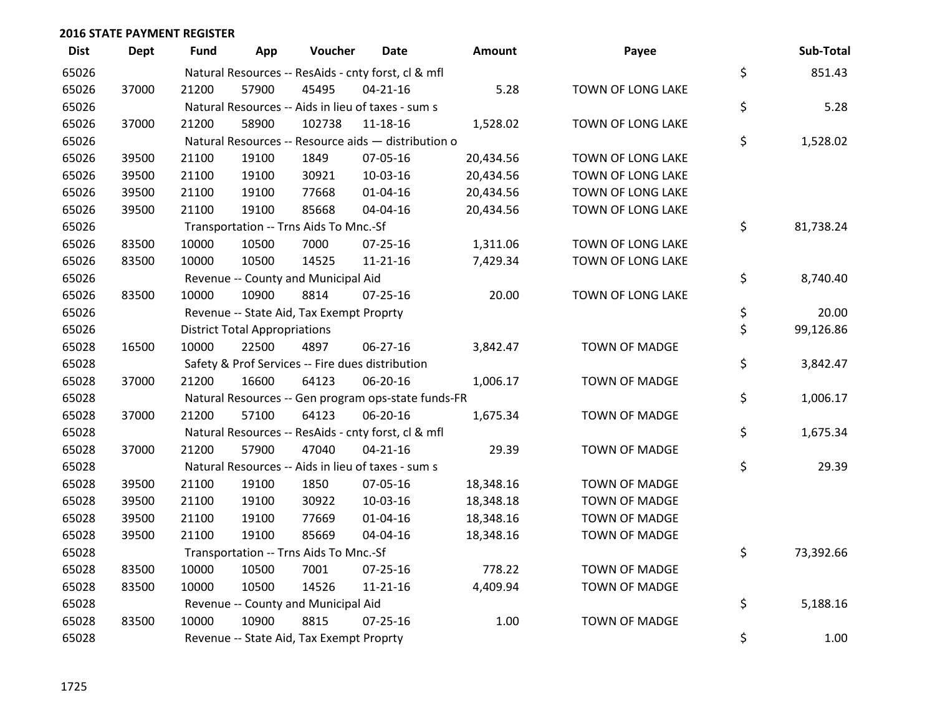| <b>Dist</b> | <b>Dept</b> | <b>Fund</b> | App                                  | Voucher                                             | <b>Date</b>    | Amount    | Payee                | Sub-Total       |
|-------------|-------------|-------------|--------------------------------------|-----------------------------------------------------|----------------|-----------|----------------------|-----------------|
| 65026       |             |             |                                      | Natural Resources -- ResAids - cnty forst, cl & mfl |                |           |                      | \$<br>851.43    |
| 65026       | 37000       | 21200       | 57900                                | 45495                                               | $04 - 21 - 16$ | 5.28      | TOWN OF LONG LAKE    |                 |
| 65026       |             |             |                                      | Natural Resources -- Aids in lieu of taxes - sum s  |                |           |                      | \$<br>5.28      |
| 65026       | 37000       | 21200       | 58900                                | 102738                                              | 11-18-16       | 1,528.02  | TOWN OF LONG LAKE    |                 |
| 65026       |             |             |                                      | Natural Resources -- Resource aids - distribution o |                |           |                      | \$<br>1,528.02  |
| 65026       | 39500       | 21100       | 19100                                | 1849                                                | 07-05-16       | 20,434.56 | TOWN OF LONG LAKE    |                 |
| 65026       | 39500       | 21100       | 19100                                | 30921                                               | 10-03-16       | 20,434.56 | TOWN OF LONG LAKE    |                 |
| 65026       | 39500       | 21100       | 19100                                | 77668                                               | $01 - 04 - 16$ | 20,434.56 | TOWN OF LONG LAKE    |                 |
| 65026       | 39500       | 21100       | 19100                                | 85668                                               | 04-04-16       | 20,434.56 | TOWN OF LONG LAKE    |                 |
| 65026       |             |             |                                      | Transportation -- Trns Aids To Mnc.-Sf              |                |           |                      | \$<br>81,738.24 |
| 65026       | 83500       | 10000       | 10500                                | 7000                                                | 07-25-16       | 1,311.06  | TOWN OF LONG LAKE    |                 |
| 65026       | 83500       | 10000       | 10500                                | 14525                                               | $11 - 21 - 16$ | 7,429.34  | TOWN OF LONG LAKE    |                 |
| 65026       |             |             |                                      | Revenue -- County and Municipal Aid                 |                |           |                      | \$<br>8,740.40  |
| 65026       | 83500       | 10000       | 10900                                | 8814                                                | $07 - 25 - 16$ | 20.00     | TOWN OF LONG LAKE    |                 |
| 65026       |             |             |                                      | Revenue -- State Aid, Tax Exempt Proprty            |                |           |                      | \$<br>20.00     |
| 65026       |             |             | <b>District Total Appropriations</b> |                                                     |                |           |                      | \$<br>99,126.86 |
| 65028       | 16500       | 10000       | 22500                                | 4897                                                | 06-27-16       | 3,842.47  | <b>TOWN OF MADGE</b> |                 |
| 65028       |             |             |                                      | Safety & Prof Services -- Fire dues distribution    |                |           |                      | \$<br>3,842.47  |
| 65028       | 37000       | 21200       | 16600                                | 64123                                               | 06-20-16       | 1,006.17  | <b>TOWN OF MADGE</b> |                 |
| 65028       |             |             |                                      | Natural Resources -- Gen program ops-state funds-FR |                |           |                      | \$<br>1,006.17  |
| 65028       | 37000       | 21200       | 57100                                | 64123                                               | 06-20-16       | 1,675.34  | TOWN OF MADGE        |                 |
| 65028       |             |             |                                      | Natural Resources -- ResAids - cnty forst, cl & mfl |                |           |                      | \$<br>1,675.34  |
| 65028       | 37000       | 21200       | 57900                                | 47040                                               | $04 - 21 - 16$ | 29.39     | <b>TOWN OF MADGE</b> |                 |
| 65028       |             |             |                                      | Natural Resources -- Aids in lieu of taxes - sum s  |                |           |                      | \$<br>29.39     |
| 65028       | 39500       | 21100       | 19100                                | 1850                                                | 07-05-16       | 18,348.16 | <b>TOWN OF MADGE</b> |                 |
| 65028       | 39500       | 21100       | 19100                                | 30922                                               | 10-03-16       | 18,348.18 | <b>TOWN OF MADGE</b> |                 |
| 65028       | 39500       | 21100       | 19100                                | 77669                                               | 01-04-16       | 18,348.16 | <b>TOWN OF MADGE</b> |                 |
| 65028       | 39500       | 21100       | 19100                                | 85669                                               | 04-04-16       | 18,348.16 | <b>TOWN OF MADGE</b> |                 |
| 65028       |             |             |                                      | Transportation -- Trns Aids To Mnc.-Sf              |                |           |                      | \$<br>73,392.66 |
| 65028       | 83500       | 10000       | 10500                                | 7001                                                | $07 - 25 - 16$ | 778.22    | <b>TOWN OF MADGE</b> |                 |
| 65028       | 83500       | 10000       | 10500                                | 14526                                               | 11-21-16       | 4,409.94  | TOWN OF MADGE        |                 |
| 65028       |             |             |                                      | Revenue -- County and Municipal Aid                 |                |           |                      | \$<br>5,188.16  |
| 65028       | 83500       | 10000       | 10900                                | 8815                                                | $07 - 25 - 16$ | 1.00      | <b>TOWN OF MADGE</b> |                 |
| 65028       |             |             |                                      | Revenue -- State Aid, Tax Exempt Proprty            |                |           |                      | \$<br>1.00      |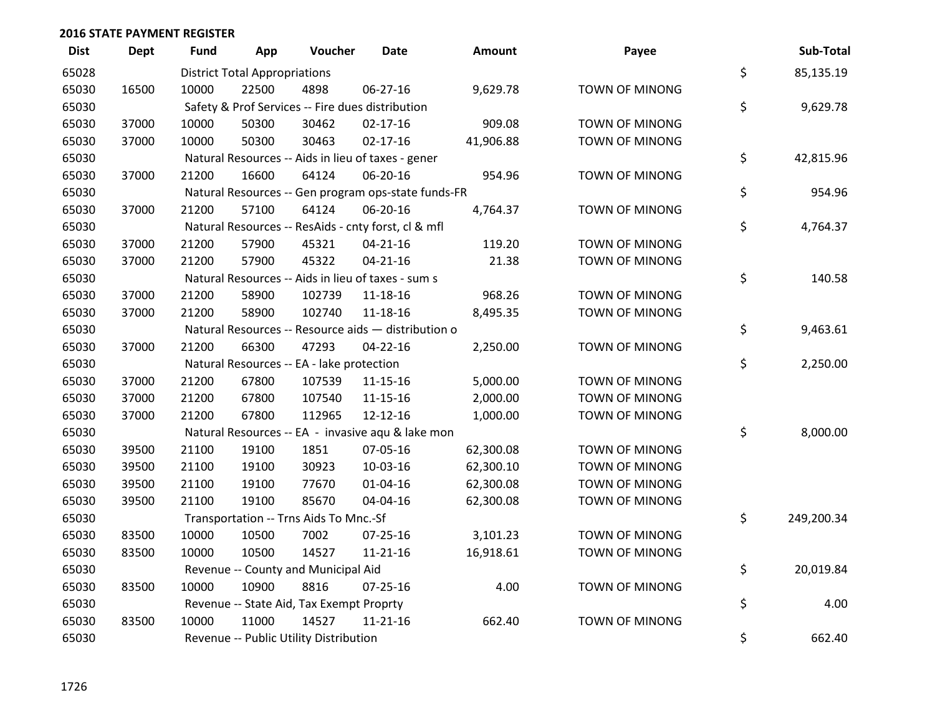| <b>Dist</b> | <b>Dept</b> | <b>Fund</b> | App                                  | Voucher                                   | <b>Date</b>                                         | Amount    | Payee                 | Sub-Total        |
|-------------|-------------|-------------|--------------------------------------|-------------------------------------------|-----------------------------------------------------|-----------|-----------------------|------------------|
| 65028       |             |             | <b>District Total Appropriations</b> |                                           |                                                     |           |                       | \$<br>85,135.19  |
| 65030       | 16500       | 10000       | 22500                                | 4898                                      | 06-27-16                                            | 9,629.78  | <b>TOWN OF MINONG</b> |                  |
| 65030       |             |             |                                      |                                           | Safety & Prof Services -- Fire dues distribution    |           |                       | \$<br>9,629.78   |
| 65030       | 37000       | 10000       | 50300                                | 30462                                     | $02 - 17 - 16$                                      | 909.08    | TOWN OF MINONG        |                  |
| 65030       | 37000       | 10000       | 50300                                | 30463                                     | $02 - 17 - 16$                                      | 41,906.88 | TOWN OF MINONG        |                  |
| 65030       |             |             |                                      |                                           | Natural Resources -- Aids in lieu of taxes - gener  |           |                       | \$<br>42,815.96  |
| 65030       | 37000       | 21200       | 16600                                | 64124                                     | 06-20-16                                            | 954.96    | <b>TOWN OF MINONG</b> |                  |
| 65030       |             |             |                                      |                                           | Natural Resources -- Gen program ops-state funds-FR |           |                       | \$<br>954.96     |
| 65030       | 37000       | 21200       | 57100                                | 64124                                     | 06-20-16                                            | 4,764.37  | <b>TOWN OF MINONG</b> |                  |
| 65030       |             |             |                                      |                                           | Natural Resources -- ResAids - cnty forst, cl & mfl |           |                       | \$<br>4,764.37   |
| 65030       | 37000       | 21200       | 57900                                | 45321                                     | $04 - 21 - 16$                                      | 119.20    | TOWN OF MINONG        |                  |
| 65030       | 37000       | 21200       | 57900                                | 45322                                     | $04 - 21 - 16$                                      | 21.38     | <b>TOWN OF MINONG</b> |                  |
| 65030       |             |             |                                      |                                           | Natural Resources -- Aids in lieu of taxes - sum s  |           |                       | \$<br>140.58     |
| 65030       | 37000       | 21200       | 58900                                | 102739                                    | 11-18-16                                            | 968.26    | <b>TOWN OF MINONG</b> |                  |
| 65030       | 37000       | 21200       | 58900                                | 102740                                    | 11-18-16                                            | 8,495.35  | <b>TOWN OF MINONG</b> |                  |
| 65030       |             |             |                                      |                                           | Natural Resources -- Resource aids - distribution o |           |                       | \$<br>9,463.61   |
| 65030       | 37000       | 21200       | 66300                                | 47293                                     | $04 - 22 - 16$                                      | 2,250.00  | <b>TOWN OF MINONG</b> |                  |
| 65030       |             |             |                                      | Natural Resources -- EA - lake protection |                                                     |           |                       | \$<br>2,250.00   |
| 65030       | 37000       | 21200       | 67800                                | 107539                                    | $11 - 15 - 16$                                      | 5,000.00  | <b>TOWN OF MINONG</b> |                  |
| 65030       | 37000       | 21200       | 67800                                | 107540                                    | $11 - 15 - 16$                                      | 2,000.00  | <b>TOWN OF MINONG</b> |                  |
| 65030       | 37000       | 21200       | 67800                                | 112965                                    | 12-12-16                                            | 1,000.00  | <b>TOWN OF MINONG</b> |                  |
| 65030       |             |             |                                      |                                           | Natural Resources -- EA - invasive aqu & lake mon   |           |                       | \$<br>8,000.00   |
| 65030       | 39500       | 21100       | 19100                                | 1851                                      | 07-05-16                                            | 62,300.08 | <b>TOWN OF MINONG</b> |                  |
| 65030       | 39500       | 21100       | 19100                                | 30923                                     | 10-03-16                                            | 62,300.10 | <b>TOWN OF MINONG</b> |                  |
| 65030       | 39500       | 21100       | 19100                                | 77670                                     | $01 - 04 - 16$                                      | 62,300.08 | <b>TOWN OF MINONG</b> |                  |
| 65030       | 39500       | 21100       | 19100                                | 85670                                     | 04-04-16                                            | 62,300.08 | <b>TOWN OF MINONG</b> |                  |
| 65030       |             |             |                                      | Transportation -- Trns Aids To Mnc.-Sf    |                                                     |           |                       | \$<br>249,200.34 |
| 65030       | 83500       | 10000       | 10500                                | 7002                                      | 07-25-16                                            | 3,101.23  | <b>TOWN OF MINONG</b> |                  |
| 65030       | 83500       | 10000       | 10500                                | 14527                                     | $11 - 21 - 16$                                      | 16,918.61 | <b>TOWN OF MINONG</b> |                  |
| 65030       |             |             |                                      | Revenue -- County and Municipal Aid       |                                                     |           |                       | \$<br>20,019.84  |
| 65030       | 83500       | 10000       | 10900                                | 8816                                      | $07 - 25 - 16$                                      | 4.00      | <b>TOWN OF MINONG</b> |                  |
| 65030       |             |             |                                      | Revenue -- State Aid, Tax Exempt Proprty  |                                                     |           |                       | \$<br>4.00       |
| 65030       | 83500       | 10000       | 11000                                | 14527                                     | $11 - 21 - 16$                                      | 662.40    | <b>TOWN OF MINONG</b> |                  |
| 65030       |             |             |                                      | Revenue -- Public Utility Distribution    |                                                     |           |                       | \$<br>662.40     |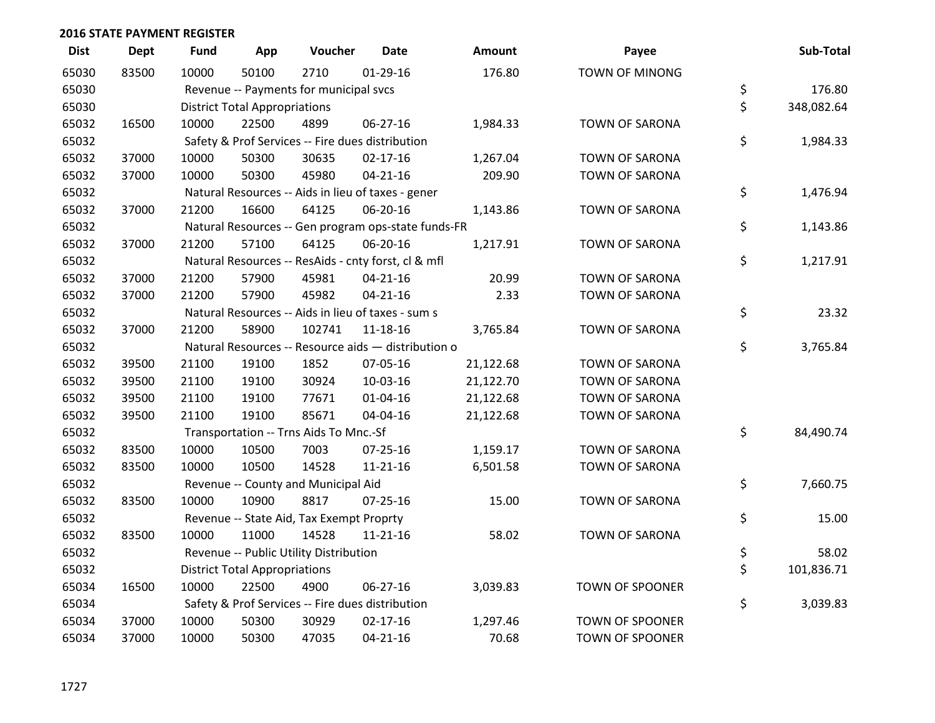| <b>Dist</b> | <b>Dept</b> | <b>Fund</b> | App                                  | Voucher                                          | <b>Date</b>                                         | <b>Amount</b> | Payee                  | Sub-Total        |
|-------------|-------------|-------------|--------------------------------------|--------------------------------------------------|-----------------------------------------------------|---------------|------------------------|------------------|
| 65030       | 83500       | 10000       | 50100                                | 2710                                             | $01-29-16$                                          | 176.80        | <b>TOWN OF MINONG</b>  |                  |
| 65030       |             |             |                                      | Revenue -- Payments for municipal svcs           |                                                     |               |                        | \$<br>176.80     |
| 65030       |             |             | <b>District Total Appropriations</b> |                                                  |                                                     |               |                        | \$<br>348,082.64 |
| 65032       | 16500       | 10000       | 22500                                | 4899                                             | 06-27-16                                            | 1,984.33      | TOWN OF SARONA         |                  |
| 65032       |             |             |                                      | Safety & Prof Services -- Fire dues distribution |                                                     |               |                        | \$<br>1,984.33   |
| 65032       | 37000       | 10000       | 50300                                | 30635                                            | $02 - 17 - 16$                                      | 1,267.04      | TOWN OF SARONA         |                  |
| 65032       | 37000       | 10000       | 50300                                | 45980                                            | $04 - 21 - 16$                                      | 209.90        | <b>TOWN OF SARONA</b>  |                  |
| 65032       |             |             |                                      |                                                  | Natural Resources -- Aids in lieu of taxes - gener  |               |                        | \$<br>1,476.94   |
| 65032       | 37000       | 21200       | 16600                                | 64125                                            | 06-20-16                                            | 1,143.86      | <b>TOWN OF SARONA</b>  |                  |
| 65032       |             |             |                                      |                                                  | Natural Resources -- Gen program ops-state funds-FR |               |                        | \$<br>1,143.86   |
| 65032       | 37000       | 21200       | 57100                                | 64125                                            | 06-20-16                                            | 1,217.91      | TOWN OF SARONA         |                  |
| 65032       |             |             |                                      |                                                  | Natural Resources -- ResAids - cnty forst, cl & mfl |               |                        | \$<br>1,217.91   |
| 65032       | 37000       | 21200       | 57900                                | 45981                                            | $04 - 21 - 16$                                      | 20.99         | TOWN OF SARONA         |                  |
| 65032       | 37000       | 21200       | 57900                                | 45982                                            | $04 - 21 - 16$                                      | 2.33          | TOWN OF SARONA         |                  |
| 65032       |             |             |                                      |                                                  | Natural Resources -- Aids in lieu of taxes - sum s  |               |                        | \$<br>23.32      |
| 65032       | 37000       | 21200       | 58900                                | 102741                                           | 11-18-16                                            | 3,765.84      | <b>TOWN OF SARONA</b>  |                  |
| 65032       |             |             |                                      |                                                  | Natural Resources -- Resource aids - distribution o |               |                        | \$<br>3,765.84   |
| 65032       | 39500       | 21100       | 19100                                | 1852                                             | 07-05-16                                            | 21,122.68     | <b>TOWN OF SARONA</b>  |                  |
| 65032       | 39500       | 21100       | 19100                                | 30924                                            | 10-03-16                                            | 21,122.70     | TOWN OF SARONA         |                  |
| 65032       | 39500       | 21100       | 19100                                | 77671                                            | 01-04-16                                            | 21,122.68     | TOWN OF SARONA         |                  |
| 65032       | 39500       | 21100       | 19100                                | 85671                                            | 04-04-16                                            | 21,122.68     | TOWN OF SARONA         |                  |
| 65032       |             |             |                                      | Transportation -- Trns Aids To Mnc.-Sf           |                                                     |               |                        | \$<br>84,490.74  |
| 65032       | 83500       | 10000       | 10500                                | 7003                                             | $07 - 25 - 16$                                      | 1,159.17      | <b>TOWN OF SARONA</b>  |                  |
| 65032       | 83500       | 10000       | 10500                                | 14528                                            | $11 - 21 - 16$                                      | 6,501.58      | <b>TOWN OF SARONA</b>  |                  |
| 65032       |             |             |                                      | Revenue -- County and Municipal Aid              |                                                     |               |                        | \$<br>7,660.75   |
| 65032       | 83500       | 10000       | 10900                                | 8817                                             | $07 - 25 - 16$                                      | 15.00         | <b>TOWN OF SARONA</b>  |                  |
| 65032       |             |             |                                      | Revenue -- State Aid, Tax Exempt Proprty         |                                                     |               |                        | \$<br>15.00      |
| 65032       | 83500       | 10000       | 11000                                | 14528                                            | $11 - 21 - 16$                                      | 58.02         | TOWN OF SARONA         |                  |
| 65032       |             |             |                                      | Revenue -- Public Utility Distribution           |                                                     |               |                        | \$<br>58.02      |
| 65032       |             |             | <b>District Total Appropriations</b> |                                                  |                                                     |               |                        | \$<br>101,836.71 |
| 65034       | 16500       | 10000       | 22500                                | 4900                                             | 06-27-16                                            | 3,039.83      | <b>TOWN OF SPOONER</b> |                  |
| 65034       |             |             |                                      | Safety & Prof Services -- Fire dues distribution |                                                     |               |                        | \$<br>3,039.83   |
| 65034       | 37000       | 10000       | 50300                                | 30929                                            | $02 - 17 - 16$                                      | 1,297.46      | <b>TOWN OF SPOONER</b> |                  |
| 65034       | 37000       | 10000       | 50300                                | 47035                                            | $04 - 21 - 16$                                      | 70.68         | <b>TOWN OF SPOONER</b> |                  |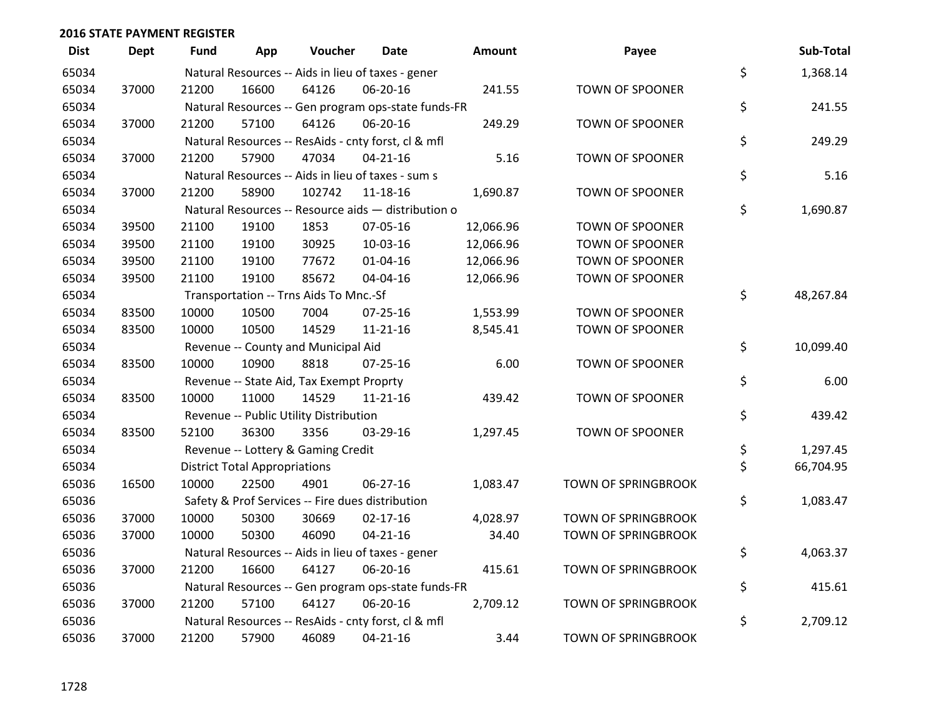| <b>Dist</b> | <b>Dept</b> | <b>Fund</b> | App                                  | Voucher                                  | <b>Date</b>                                         | <b>Amount</b> | Payee                      | Sub-Total       |
|-------------|-------------|-------------|--------------------------------------|------------------------------------------|-----------------------------------------------------|---------------|----------------------------|-----------------|
| 65034       |             |             |                                      |                                          | Natural Resources -- Aids in lieu of taxes - gener  |               |                            | \$<br>1,368.14  |
| 65034       | 37000       | 21200       | 16600                                | 64126                                    | 06-20-16                                            | 241.55        | TOWN OF SPOONER            |                 |
| 65034       |             |             |                                      |                                          | Natural Resources -- Gen program ops-state funds-FR |               |                            | \$<br>241.55    |
| 65034       | 37000       | 21200       | 57100                                | 64126                                    | 06-20-16                                            | 249.29        | <b>TOWN OF SPOONER</b>     |                 |
| 65034       |             |             |                                      |                                          | Natural Resources -- ResAids - cnty forst, cl & mfl |               |                            | \$<br>249.29    |
| 65034       | 37000       | 21200       | 57900                                | 47034                                    | $04 - 21 - 16$                                      | 5.16          | <b>TOWN OF SPOONER</b>     |                 |
| 65034       |             |             |                                      |                                          | Natural Resources -- Aids in lieu of taxes - sum s  |               |                            | \$<br>5.16      |
| 65034       | 37000       | 21200       | 58900                                | 102742                                   | $11 - 18 - 16$                                      | 1,690.87      | TOWN OF SPOONER            |                 |
| 65034       |             |             |                                      |                                          | Natural Resources -- Resource aids - distribution o |               |                            | \$<br>1,690.87  |
| 65034       | 39500       | 21100       | 19100                                | 1853                                     | 07-05-16                                            | 12,066.96     | <b>TOWN OF SPOONER</b>     |                 |
| 65034       | 39500       | 21100       | 19100                                | 30925                                    | 10-03-16                                            | 12,066.96     | <b>TOWN OF SPOONER</b>     |                 |
| 65034       | 39500       | 21100       | 19100                                | 77672                                    | $01 - 04 - 16$                                      | 12,066.96     | <b>TOWN OF SPOONER</b>     |                 |
| 65034       | 39500       | 21100       | 19100                                | 85672                                    | 04-04-16                                            | 12,066.96     | TOWN OF SPOONER            |                 |
| 65034       |             |             |                                      | Transportation -- Trns Aids To Mnc.-Sf   |                                                     |               |                            | \$<br>48,267.84 |
| 65034       | 83500       | 10000       | 10500                                | 7004                                     | $07 - 25 - 16$                                      | 1,553.99      | <b>TOWN OF SPOONER</b>     |                 |
| 65034       | 83500       | 10000       | 10500                                | 14529                                    | 11-21-16                                            | 8,545.41      | TOWN OF SPOONER            |                 |
| 65034       |             |             |                                      | Revenue -- County and Municipal Aid      |                                                     |               |                            | \$<br>10,099.40 |
| 65034       | 83500       | 10000       | 10900                                | 8818                                     | $07 - 25 - 16$                                      | 6.00          | <b>TOWN OF SPOONER</b>     |                 |
| 65034       |             |             |                                      | Revenue -- State Aid, Tax Exempt Proprty |                                                     |               |                            | \$<br>6.00      |
| 65034       | 83500       | 10000       | 11000                                | 14529                                    | 11-21-16                                            | 439.42        | TOWN OF SPOONER            |                 |
| 65034       |             |             |                                      | Revenue -- Public Utility Distribution   |                                                     |               |                            | \$<br>439.42    |
| 65034       | 83500       | 52100       | 36300                                | 3356                                     | 03-29-16                                            | 1,297.45      | <b>TOWN OF SPOONER</b>     |                 |
| 65034       |             |             |                                      | Revenue -- Lottery & Gaming Credit       |                                                     |               |                            | \$<br>1,297.45  |
| 65034       |             |             | <b>District Total Appropriations</b> |                                          |                                                     |               |                            | \$<br>66,704.95 |
| 65036       | 16500       | 10000       | 22500                                | 4901                                     | 06-27-16                                            | 1,083.47      | <b>TOWN OF SPRINGBROOK</b> |                 |
| 65036       |             |             |                                      |                                          | Safety & Prof Services -- Fire dues distribution    |               |                            | \$<br>1,083.47  |
| 65036       | 37000       | 10000       | 50300                                | 30669                                    | $02 - 17 - 16$                                      | 4,028.97      | TOWN OF SPRINGBROOK        |                 |
| 65036       | 37000       | 10000       | 50300                                | 46090                                    | $04 - 21 - 16$                                      | 34.40         | <b>TOWN OF SPRINGBROOK</b> |                 |
| 65036       |             |             |                                      |                                          | Natural Resources -- Aids in lieu of taxes - gener  |               |                            | \$<br>4,063.37  |
| 65036       | 37000       | 21200       | 16600                                | 64127                                    | 06-20-16                                            | 415.61        | <b>TOWN OF SPRINGBROOK</b> |                 |
| 65036       |             |             |                                      |                                          | Natural Resources -- Gen program ops-state funds-FR |               |                            | \$<br>415.61    |
| 65036       | 37000       | 21200       | 57100                                | 64127                                    | 06-20-16                                            | 2,709.12      | <b>TOWN OF SPRINGBROOK</b> |                 |
| 65036       |             |             |                                      |                                          | Natural Resources -- ResAids - cnty forst, cl & mfl |               |                            | \$<br>2,709.12  |
| 65036       | 37000       | 21200       | 57900                                | 46089                                    | $04 - 21 - 16$                                      | 3.44          | <b>TOWN OF SPRINGBROOK</b> |                 |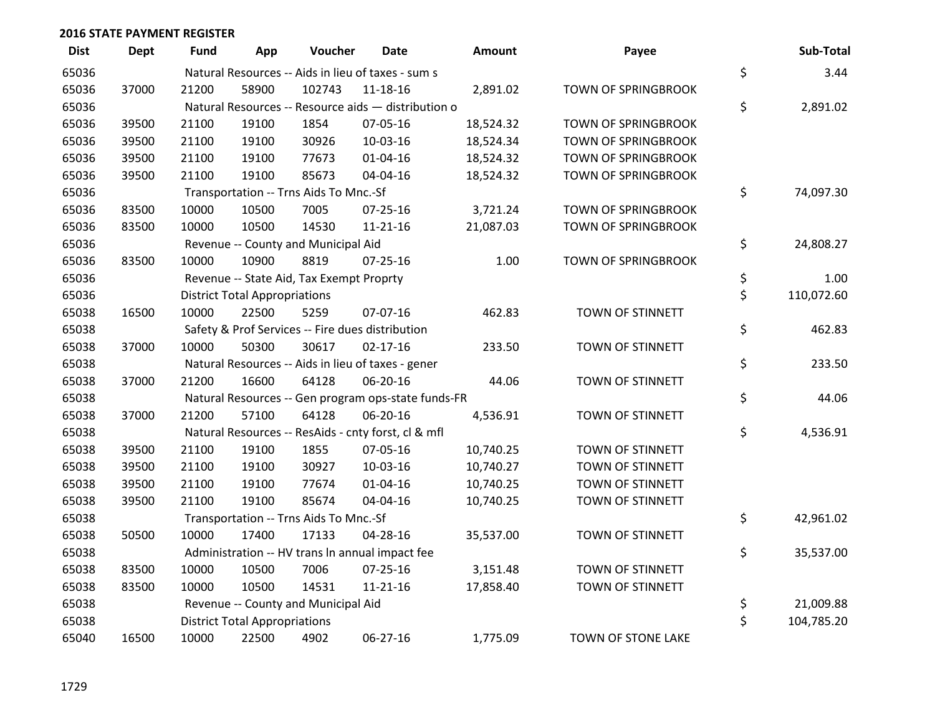| <b>Dist</b> | Dept  | Fund  | App                                  | Voucher                                  | <b>Date</b>                                         | <b>Amount</b> | Payee                      | Sub-Total        |
|-------------|-------|-------|--------------------------------------|------------------------------------------|-----------------------------------------------------|---------------|----------------------------|------------------|
| 65036       |       |       |                                      |                                          | Natural Resources -- Aids in lieu of taxes - sum s  |               |                            | \$<br>3.44       |
| 65036       | 37000 | 21200 | 58900                                | 102743                                   | 11-18-16                                            | 2,891.02      | TOWN OF SPRINGBROOK        |                  |
| 65036       |       |       |                                      |                                          | Natural Resources -- Resource aids - distribution o |               |                            | \$<br>2,891.02   |
| 65036       | 39500 | 21100 | 19100                                | 1854                                     | 07-05-16                                            | 18,524.32     | <b>TOWN OF SPRINGBROOK</b> |                  |
| 65036       | 39500 | 21100 | 19100                                | 30926                                    | 10-03-16                                            | 18,524.34     | TOWN OF SPRINGBROOK        |                  |
| 65036       | 39500 | 21100 | 19100                                | 77673                                    | $01 - 04 - 16$                                      | 18,524.32     | TOWN OF SPRINGBROOK        |                  |
| 65036       | 39500 | 21100 | 19100                                | 85673                                    | 04-04-16                                            | 18,524.32     | TOWN OF SPRINGBROOK        |                  |
| 65036       |       |       |                                      | Transportation -- Trns Aids To Mnc.-Sf   |                                                     |               |                            | \$<br>74,097.30  |
| 65036       | 83500 | 10000 | 10500                                | 7005                                     | $07 - 25 - 16$                                      | 3,721.24      | TOWN OF SPRINGBROOK        |                  |
| 65036       | 83500 | 10000 | 10500                                | 14530                                    | $11 - 21 - 16$                                      | 21,087.03     | TOWN OF SPRINGBROOK        |                  |
| 65036       |       |       |                                      | Revenue -- County and Municipal Aid      |                                                     |               |                            | \$<br>24,808.27  |
| 65036       | 83500 | 10000 | 10900                                | 8819                                     | $07 - 25 - 16$                                      | 1.00          | TOWN OF SPRINGBROOK        |                  |
| 65036       |       |       |                                      | Revenue -- State Aid, Tax Exempt Proprty |                                                     |               |                            | \$<br>1.00       |
| 65036       |       |       | <b>District Total Appropriations</b> |                                          |                                                     |               |                            | \$<br>110,072.60 |
| 65038       | 16500 | 10000 | 22500                                | 5259                                     | 07-07-16                                            | 462.83        | TOWN OF STINNETT           |                  |
| 65038       |       |       |                                      |                                          | Safety & Prof Services -- Fire dues distribution    |               |                            | \$<br>462.83     |
| 65038       | 37000 | 10000 | 50300                                | 30617                                    | $02 - 17 - 16$                                      | 233.50        | TOWN OF STINNETT           |                  |
| 65038       |       |       |                                      |                                          | Natural Resources -- Aids in lieu of taxes - gener  |               |                            | \$<br>233.50     |
| 65038       | 37000 | 21200 | 16600                                | 64128                                    | 06-20-16                                            | 44.06         | TOWN OF STINNETT           |                  |
| 65038       |       |       |                                      |                                          | Natural Resources -- Gen program ops-state funds-FR |               |                            | \$<br>44.06      |
| 65038       | 37000 | 21200 | 57100                                | 64128                                    | 06-20-16                                            | 4,536.91      | TOWN OF STINNETT           |                  |
| 65038       |       |       |                                      |                                          | Natural Resources -- ResAids - cnty forst, cl & mfl |               |                            | \$<br>4,536.91   |
| 65038       | 39500 | 21100 | 19100                                | 1855                                     | 07-05-16                                            | 10,740.25     | TOWN OF STINNETT           |                  |
| 65038       | 39500 | 21100 | 19100                                | 30927                                    | 10-03-16                                            | 10,740.27     | TOWN OF STINNETT           |                  |
| 65038       | 39500 | 21100 | 19100                                | 77674                                    | 01-04-16                                            | 10,740.25     | TOWN OF STINNETT           |                  |
| 65038       | 39500 | 21100 | 19100                                | 85674                                    | 04-04-16                                            | 10,740.25     | TOWN OF STINNETT           |                  |
| 65038       |       |       |                                      | Transportation -- Trns Aids To Mnc.-Sf   |                                                     |               |                            | \$<br>42,961.02  |
| 65038       | 50500 | 10000 | 17400                                | 17133                                    | 04-28-16                                            | 35,537.00     | TOWN OF STINNETT           |                  |
| 65038       |       |       |                                      |                                          | Administration -- HV trans In annual impact fee     |               |                            | \$<br>35,537.00  |
| 65038       | 83500 | 10000 | 10500                                | 7006                                     | 07-25-16                                            | 3,151.48      | TOWN OF STINNETT           |                  |
| 65038       | 83500 | 10000 | 10500                                | 14531                                    | $11 - 21 - 16$                                      | 17,858.40     | TOWN OF STINNETT           |                  |
| 65038       |       |       |                                      | Revenue -- County and Municipal Aid      |                                                     |               |                            | \$<br>21,009.88  |
| 65038       |       |       | <b>District Total Appropriations</b> |                                          |                                                     |               |                            | \$<br>104,785.20 |
| 65040       | 16500 | 10000 | 22500                                | 4902                                     | $06 - 27 - 16$                                      | 1,775.09      | TOWN OF STONE LAKE         |                  |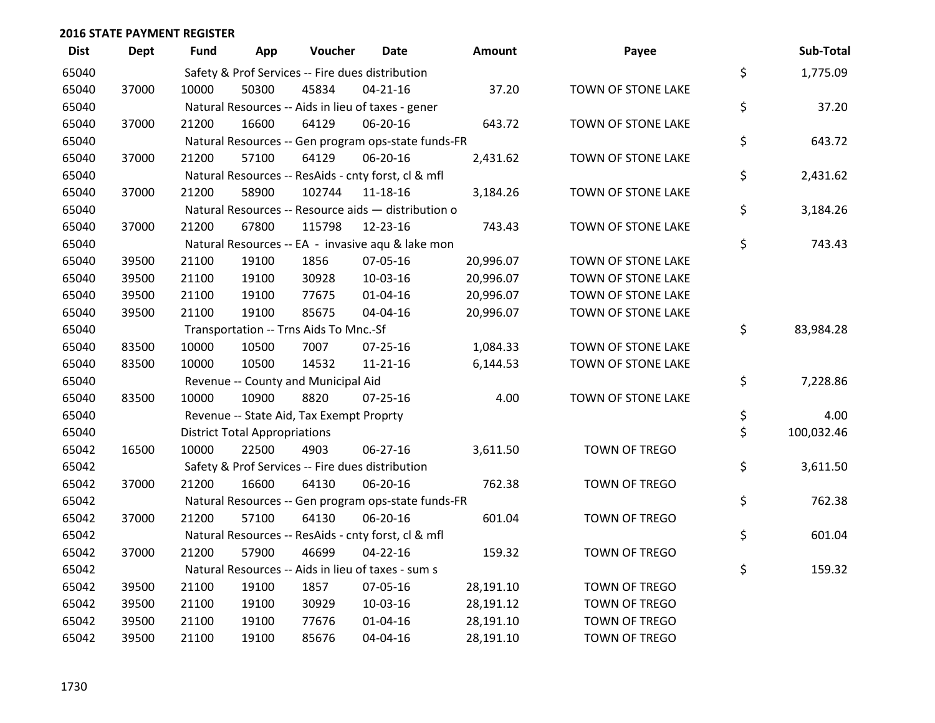| <b>Dist</b> | <b>Dept</b> | <b>Fund</b> | App                                  | Voucher                                             | <b>Date</b>    | Amount    | Payee              | Sub-Total        |
|-------------|-------------|-------------|--------------------------------------|-----------------------------------------------------|----------------|-----------|--------------------|------------------|
| 65040       |             |             |                                      | Safety & Prof Services -- Fire dues distribution    |                |           |                    | \$<br>1,775.09   |
| 65040       | 37000       | 10000       | 50300                                | 45834                                               | $04 - 21 - 16$ | 37.20     | TOWN OF STONE LAKE |                  |
| 65040       |             |             |                                      | Natural Resources -- Aids in lieu of taxes - gener  |                |           |                    | \$<br>37.20      |
| 65040       | 37000       | 21200       | 16600                                | 64129                                               | 06-20-16       | 643.72    | TOWN OF STONE LAKE |                  |
| 65040       |             |             |                                      | Natural Resources -- Gen program ops-state funds-FR |                |           |                    | \$<br>643.72     |
| 65040       | 37000       | 21200       | 57100                                | 64129                                               | 06-20-16       | 2,431.62  | TOWN OF STONE LAKE |                  |
| 65040       |             |             |                                      | Natural Resources -- ResAids - cnty forst, cl & mfl |                |           |                    | \$<br>2,431.62   |
| 65040       | 37000       | 21200       | 58900                                | 102744                                              | 11-18-16       | 3,184.26  | TOWN OF STONE LAKE |                  |
| 65040       |             |             |                                      | Natural Resources -- Resource aids - distribution o |                |           |                    | \$<br>3,184.26   |
| 65040       | 37000       | 21200       | 67800                                | 115798                                              | 12-23-16       | 743.43    | TOWN OF STONE LAKE |                  |
| 65040       |             |             |                                      | Natural Resources -- EA - invasive aqu & lake mon   |                |           |                    | \$<br>743.43     |
| 65040       | 39500       | 21100       | 19100                                | 1856                                                | 07-05-16       | 20,996.07 | TOWN OF STONE LAKE |                  |
| 65040       | 39500       | 21100       | 19100                                | 30928                                               | 10-03-16       | 20,996.07 | TOWN OF STONE LAKE |                  |
| 65040       | 39500       | 21100       | 19100                                | 77675                                               | $01 - 04 - 16$ | 20,996.07 | TOWN OF STONE LAKE |                  |
| 65040       | 39500       | 21100       | 19100                                | 85675                                               | 04-04-16       | 20,996.07 | TOWN OF STONE LAKE |                  |
| 65040       |             |             |                                      | Transportation -- Trns Aids To Mnc.-Sf              |                |           |                    | \$<br>83,984.28  |
| 65040       | 83500       | 10000       | 10500                                | 7007                                                | 07-25-16       | 1,084.33  | TOWN OF STONE LAKE |                  |
| 65040       | 83500       | 10000       | 10500                                | 14532                                               | $11 - 21 - 16$ | 6,144.53  | TOWN OF STONE LAKE |                  |
| 65040       |             |             |                                      | Revenue -- County and Municipal Aid                 |                |           |                    | \$<br>7,228.86   |
| 65040       | 83500       | 10000       | 10900                                | 8820                                                | 07-25-16       | 4.00      | TOWN OF STONE LAKE |                  |
| 65040       |             |             |                                      | Revenue -- State Aid, Tax Exempt Proprty            |                |           |                    | \$<br>4.00       |
| 65040       |             |             | <b>District Total Appropriations</b> |                                                     |                |           |                    | \$<br>100,032.46 |
| 65042       | 16500       | 10000       | 22500                                | 4903                                                | 06-27-16       | 3,611.50  | TOWN OF TREGO      |                  |
| 65042       |             |             |                                      | Safety & Prof Services -- Fire dues distribution    |                |           |                    | \$<br>3,611.50   |
| 65042       | 37000       | 21200       | 16600                                | 64130                                               | 06-20-16       | 762.38    | TOWN OF TREGO      |                  |
| 65042       |             |             |                                      | Natural Resources -- Gen program ops-state funds-FR |                |           |                    | \$<br>762.38     |
| 65042       | 37000       | 21200       | 57100                                | 64130                                               | 06-20-16       | 601.04    | TOWN OF TREGO      |                  |
| 65042       |             |             |                                      | Natural Resources -- ResAids - cnty forst, cl & mfl |                |           |                    | \$<br>601.04     |
| 65042       | 37000       | 21200       | 57900                                | 46699                                               | 04-22-16       | 159.32    | TOWN OF TREGO      |                  |
| 65042       |             |             |                                      | Natural Resources -- Aids in lieu of taxes - sum s  |                |           |                    | \$<br>159.32     |
| 65042       | 39500       | 21100       | 19100                                | 1857                                                | 07-05-16       | 28,191.10 | TOWN OF TREGO      |                  |
| 65042       | 39500       | 21100       | 19100                                | 30929                                               | 10-03-16       | 28,191.12 | TOWN OF TREGO      |                  |
| 65042       | 39500       | 21100       | 19100                                | 77676                                               | $01 - 04 - 16$ | 28,191.10 | TOWN OF TREGO      |                  |
| 65042       | 39500       | 21100       | 19100                                | 85676                                               | 04-04-16       | 28,191.10 | TOWN OF TREGO      |                  |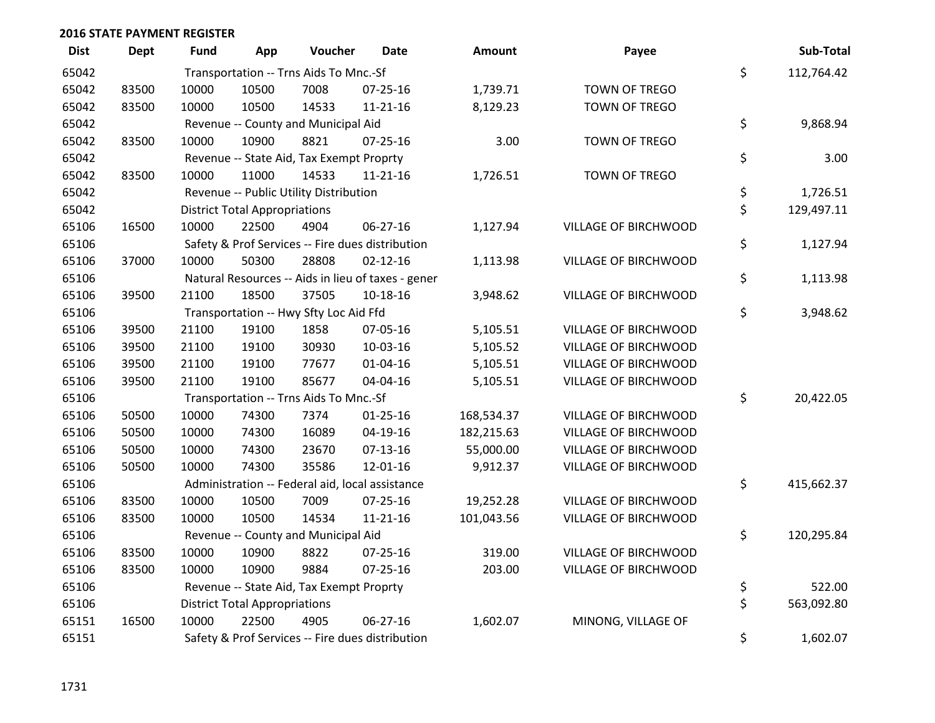| <b>Dist</b> | <b>Dept</b> | <b>Fund</b> | App                                  | Voucher                                  | <b>Date</b>                                        | <b>Amount</b> | Payee                       | Sub-Total        |
|-------------|-------------|-------------|--------------------------------------|------------------------------------------|----------------------------------------------------|---------------|-----------------------------|------------------|
| 65042       |             |             |                                      | Transportation -- Trns Aids To Mnc.-Sf   |                                                    |               |                             | \$<br>112,764.42 |
| 65042       | 83500       | 10000       | 10500                                | 7008                                     | 07-25-16                                           | 1,739.71      | TOWN OF TREGO               |                  |
| 65042       | 83500       | 10000       | 10500                                | 14533                                    | 11-21-16                                           | 8,129.23      | TOWN OF TREGO               |                  |
| 65042       |             |             |                                      | Revenue -- County and Municipal Aid      |                                                    |               |                             | \$<br>9,868.94   |
| 65042       | 83500       | 10000       | 10900                                | 8821                                     | $07 - 25 - 16$                                     | 3.00          | TOWN OF TREGO               |                  |
| 65042       |             |             |                                      | Revenue -- State Aid, Tax Exempt Proprty |                                                    |               |                             | \$<br>3.00       |
| 65042       | 83500       | 10000       | 11000                                | 14533                                    | $11 - 21 - 16$                                     | 1,726.51      | TOWN OF TREGO               |                  |
| 65042       |             |             |                                      | Revenue -- Public Utility Distribution   |                                                    |               |                             | \$<br>1,726.51   |
| 65042       |             |             | <b>District Total Appropriations</b> |                                          |                                                    |               |                             | \$<br>129,497.11 |
| 65106       | 16500       | 10000       | 22500                                | 4904                                     | 06-27-16                                           | 1,127.94      | VILLAGE OF BIRCHWOOD        |                  |
| 65106       |             |             |                                      |                                          | Safety & Prof Services -- Fire dues distribution   |               |                             | \$<br>1,127.94   |
| 65106       | 37000       | 10000       | 50300                                | 28808                                    | $02 - 12 - 16$                                     | 1,113.98      | VILLAGE OF BIRCHWOOD        |                  |
| 65106       |             |             |                                      |                                          | Natural Resources -- Aids in lieu of taxes - gener |               |                             | \$<br>1,113.98   |
| 65106       | 39500       | 21100       | 18500                                | 37505                                    | $10 - 18 - 16$                                     | 3,948.62      | VILLAGE OF BIRCHWOOD        |                  |
| 65106       |             |             |                                      | Transportation -- Hwy Sfty Loc Aid Ffd   |                                                    |               |                             | \$<br>3,948.62   |
| 65106       | 39500       | 21100       | 19100                                | 1858                                     | 07-05-16                                           | 5,105.51      | VILLAGE OF BIRCHWOOD        |                  |
| 65106       | 39500       | 21100       | 19100                                | 30930                                    | 10-03-16                                           | 5,105.52      | VILLAGE OF BIRCHWOOD        |                  |
| 65106       | 39500       | 21100       | 19100                                | 77677                                    | $01 - 04 - 16$                                     | 5,105.51      | VILLAGE OF BIRCHWOOD        |                  |
| 65106       | 39500       | 21100       | 19100                                | 85677                                    | 04-04-16                                           | 5,105.51      | VILLAGE OF BIRCHWOOD        |                  |
| 65106       |             |             |                                      | Transportation -- Trns Aids To Mnc.-Sf   |                                                    |               |                             | \$<br>20,422.05  |
| 65106       | 50500       | 10000       | 74300                                | 7374                                     | $01 - 25 - 16$                                     | 168,534.37    | VILLAGE OF BIRCHWOOD        |                  |
| 65106       | 50500       | 10000       | 74300                                | 16089                                    | $04-19-16$                                         | 182,215.63    | <b>VILLAGE OF BIRCHWOOD</b> |                  |
| 65106       | 50500       | 10000       | 74300                                | 23670                                    | $07-13-16$                                         | 55,000.00     | VILLAGE OF BIRCHWOOD        |                  |
| 65106       | 50500       | 10000       | 74300                                | 35586                                    | 12-01-16                                           | 9,912.37      | VILLAGE OF BIRCHWOOD        |                  |
| 65106       |             |             |                                      |                                          | Administration -- Federal aid, local assistance    |               |                             | \$<br>415,662.37 |
| 65106       | 83500       | 10000       | 10500                                | 7009                                     | 07-25-16                                           | 19,252.28     | VILLAGE OF BIRCHWOOD        |                  |
| 65106       | 83500       | 10000       | 10500                                | 14534                                    | $11 - 21 - 16$                                     | 101,043.56    | VILLAGE OF BIRCHWOOD        |                  |
| 65106       |             |             |                                      | Revenue -- County and Municipal Aid      |                                                    |               |                             | \$<br>120,295.84 |
| 65106       | 83500       | 10000       | 10900                                | 8822                                     | $07 - 25 - 16$                                     | 319.00        | <b>VILLAGE OF BIRCHWOOD</b> |                  |
| 65106       | 83500       | 10000       | 10900                                | 9884                                     | $07 - 25 - 16$                                     | 203.00        | VILLAGE OF BIRCHWOOD        |                  |
| 65106       |             |             |                                      | Revenue -- State Aid, Tax Exempt Proprty |                                                    |               |                             | \$<br>522.00     |
| 65106       |             |             | <b>District Total Appropriations</b> |                                          |                                                    |               |                             | \$<br>563,092.80 |
| 65151       | 16500       | 10000       | 22500                                | 4905                                     | $06 - 27 - 16$                                     | 1,602.07      | MINONG, VILLAGE OF          |                  |
| 65151       |             |             |                                      |                                          | Safety & Prof Services -- Fire dues distribution   |               |                             | \$<br>1,602.07   |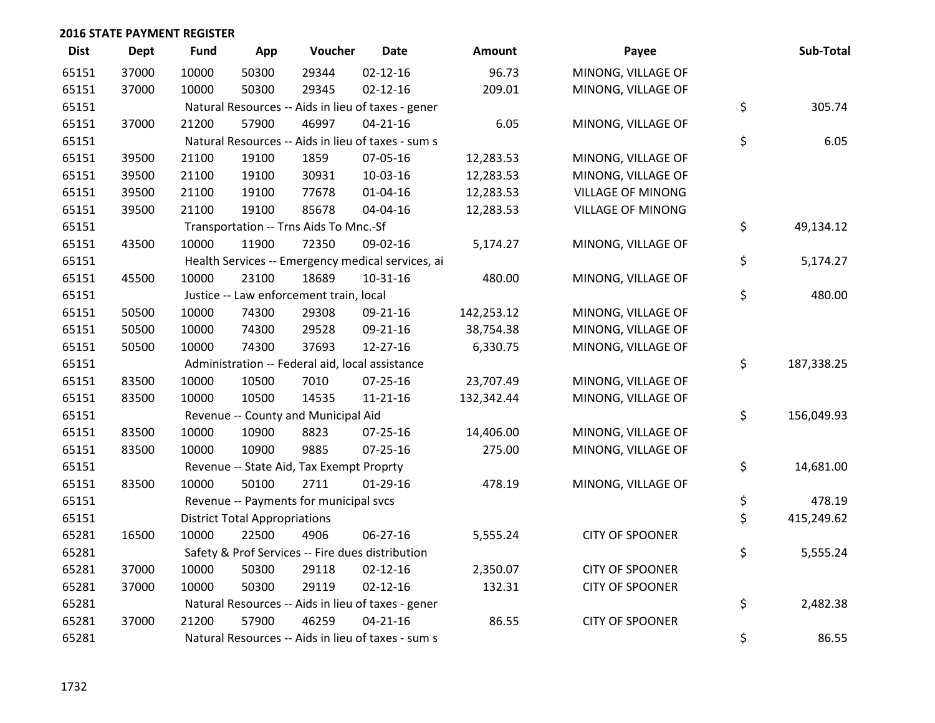| <b>Dist</b> | <b>Dept</b> | <b>Fund</b> | App                                  | Voucher                                         | Date                                               | <b>Amount</b> | Payee                    | Sub-Total        |
|-------------|-------------|-------------|--------------------------------------|-------------------------------------------------|----------------------------------------------------|---------------|--------------------------|------------------|
| 65151       | 37000       | 10000       | 50300                                | 29344                                           | $02 - 12 - 16$                                     | 96.73         | MINONG, VILLAGE OF       |                  |
| 65151       | 37000       | 10000       | 50300                                | 29345                                           | $02 - 12 - 16$                                     | 209.01        | MINONG, VILLAGE OF       |                  |
| 65151       |             |             |                                      |                                                 | Natural Resources -- Aids in lieu of taxes - gener |               |                          | \$<br>305.74     |
| 65151       | 37000       | 21200       | 57900                                | 46997                                           | $04 - 21 - 16$                                     | 6.05          | MINONG, VILLAGE OF       |                  |
| 65151       |             |             |                                      |                                                 | Natural Resources -- Aids in lieu of taxes - sum s |               |                          | \$<br>6.05       |
| 65151       | 39500       | 21100       | 19100                                | 1859                                            | 07-05-16                                           | 12,283.53     | MINONG, VILLAGE OF       |                  |
| 65151       | 39500       | 21100       | 19100                                | 30931                                           | 10-03-16                                           | 12,283.53     | MINONG, VILLAGE OF       |                  |
| 65151       | 39500       | 21100       | 19100                                | 77678                                           | $01 - 04 - 16$                                     | 12,283.53     | <b>VILLAGE OF MINONG</b> |                  |
| 65151       | 39500       | 21100       | 19100                                | 85678                                           | 04-04-16                                           | 12,283.53     | <b>VILLAGE OF MINONG</b> |                  |
| 65151       |             |             |                                      | Transportation -- Trns Aids To Mnc.-Sf          |                                                    |               |                          | \$<br>49,134.12  |
| 65151       | 43500       | 10000       | 11900                                | 72350                                           | 09-02-16                                           | 5,174.27      | MINONG, VILLAGE OF       |                  |
| 65151       |             |             |                                      |                                                 | Health Services -- Emergency medical services, ai  |               |                          | \$<br>5,174.27   |
| 65151       | 45500       | 10000       | 23100                                | 18689                                           | $10-31-16$                                         | 480.00        | MINONG, VILLAGE OF       |                  |
| 65151       |             |             |                                      | Justice -- Law enforcement train, local         |                                                    |               |                          | \$<br>480.00     |
| 65151       | 50500       | 10000       | 74300                                | 29308                                           | 09-21-16                                           | 142,253.12    | MINONG, VILLAGE OF       |                  |
| 65151       | 50500       | 10000       | 74300                                | 29528                                           | 09-21-16                                           | 38,754.38     | MINONG, VILLAGE OF       |                  |
| 65151       | 50500       | 10000       | 74300                                | 37693                                           | 12-27-16                                           | 6,330.75      | MINONG, VILLAGE OF       |                  |
| 65151       |             |             |                                      | Administration -- Federal aid, local assistance |                                                    |               |                          | \$<br>187,338.25 |
| 65151       | 83500       | 10000       | 10500                                | 7010                                            | 07-25-16                                           | 23,707.49     | MINONG, VILLAGE OF       |                  |
| 65151       | 83500       | 10000       | 10500                                | 14535                                           | $11 - 21 - 16$                                     | 132,342.44    | MINONG, VILLAGE OF       |                  |
| 65151       |             |             |                                      | Revenue -- County and Municipal Aid             |                                                    |               |                          | \$<br>156,049.93 |
| 65151       | 83500       | 10000       | 10900                                | 8823                                            | 07-25-16                                           | 14,406.00     | MINONG, VILLAGE OF       |                  |
| 65151       | 83500       | 10000       | 10900                                | 9885                                            | $07 - 25 - 16$                                     | 275.00        | MINONG, VILLAGE OF       |                  |
| 65151       |             |             |                                      | Revenue -- State Aid, Tax Exempt Proprty        |                                                    |               |                          | \$<br>14,681.00  |
| 65151       | 83500       | 10000       | 50100                                | 2711                                            | $01-29-16$                                         | 478.19        | MINONG, VILLAGE OF       |                  |
| 65151       |             |             |                                      | Revenue -- Payments for municipal svcs          |                                                    |               |                          | \$<br>478.19     |
| 65151       |             |             | <b>District Total Appropriations</b> |                                                 |                                                    |               |                          | \$<br>415,249.62 |
| 65281       | 16500       | 10000       | 22500                                | 4906                                            | 06-27-16                                           | 5,555.24      | <b>CITY OF SPOONER</b>   |                  |
| 65281       |             |             |                                      |                                                 | Safety & Prof Services -- Fire dues distribution   |               |                          | \$<br>5,555.24   |
| 65281       | 37000       | 10000       | 50300                                | 29118                                           | $02 - 12 - 16$                                     | 2,350.07      | <b>CITY OF SPOONER</b>   |                  |
| 65281       | 37000       | 10000       | 50300                                | 29119                                           | $02 - 12 - 16$                                     | 132.31        | <b>CITY OF SPOONER</b>   |                  |
| 65281       |             |             |                                      |                                                 | Natural Resources -- Aids in lieu of taxes - gener |               |                          | \$<br>2,482.38   |
| 65281       | 37000       | 21200       | 57900                                | 46259                                           | $04 - 21 - 16$                                     | 86.55         | <b>CITY OF SPOONER</b>   |                  |
| 65281       |             |             |                                      |                                                 | Natural Resources -- Aids in lieu of taxes - sum s |               |                          | \$<br>86.55      |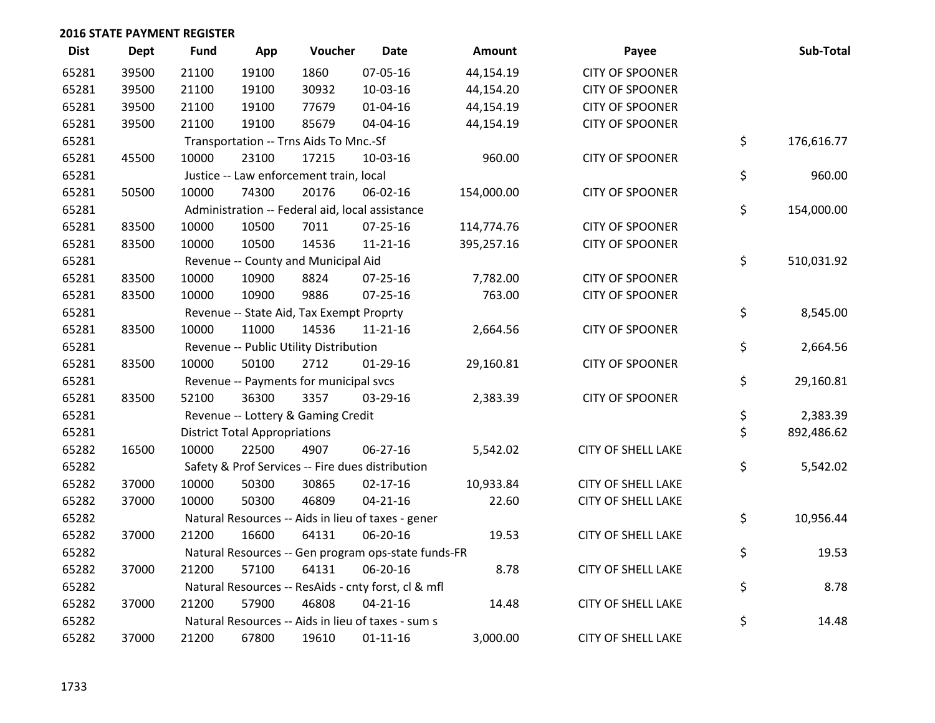| <b>Dist</b> | <b>Dept</b> | <b>Fund</b> | App                                  | Voucher                                         | <b>Date</b>                                         | Amount     | Payee                     | Sub-Total        |
|-------------|-------------|-------------|--------------------------------------|-------------------------------------------------|-----------------------------------------------------|------------|---------------------------|------------------|
| 65281       | 39500       | 21100       | 19100                                | 1860                                            | 07-05-16                                            | 44,154.19  | <b>CITY OF SPOONER</b>    |                  |
| 65281       | 39500       | 21100       | 19100                                | 30932                                           | 10-03-16                                            | 44,154.20  | <b>CITY OF SPOONER</b>    |                  |
| 65281       | 39500       | 21100       | 19100                                | 77679                                           | $01 - 04 - 16$                                      | 44,154.19  | <b>CITY OF SPOONER</b>    |                  |
| 65281       | 39500       | 21100       | 19100                                | 85679                                           | 04-04-16                                            | 44,154.19  | <b>CITY OF SPOONER</b>    |                  |
| 65281       |             |             |                                      | Transportation -- Trns Aids To Mnc.-Sf          |                                                     |            |                           | \$<br>176,616.77 |
| 65281       | 45500       | 10000       | 23100                                | 17215                                           | 10-03-16                                            | 960.00     | <b>CITY OF SPOONER</b>    |                  |
| 65281       |             |             |                                      | Justice -- Law enforcement train, local         |                                                     |            |                           | \$<br>960.00     |
| 65281       | 50500       | 10000       | 74300                                | 20176                                           | 06-02-16                                            | 154,000.00 | <b>CITY OF SPOONER</b>    |                  |
| 65281       |             |             |                                      | Administration -- Federal aid, local assistance |                                                     |            |                           | \$<br>154,000.00 |
| 65281       | 83500       | 10000       | 10500                                | 7011                                            | 07-25-16                                            | 114,774.76 | <b>CITY OF SPOONER</b>    |                  |
| 65281       | 83500       | 10000       | 10500                                | 14536                                           | $11 - 21 - 16$                                      | 395,257.16 | <b>CITY OF SPOONER</b>    |                  |
| 65281       |             |             |                                      | Revenue -- County and Municipal Aid             |                                                     |            |                           | \$<br>510,031.92 |
| 65281       | 83500       | 10000       | 10900                                | 8824                                            | 07-25-16                                            | 7,782.00   | <b>CITY OF SPOONER</b>    |                  |
| 65281       | 83500       | 10000       | 10900                                | 9886                                            | 07-25-16                                            | 763.00     | <b>CITY OF SPOONER</b>    |                  |
| 65281       |             |             |                                      | Revenue -- State Aid, Tax Exempt Proprty        |                                                     |            |                           | \$<br>8,545.00   |
| 65281       | 83500       | 10000       | 11000                                | 14536                                           | $11 - 21 - 16$                                      | 2,664.56   | <b>CITY OF SPOONER</b>    |                  |
| 65281       |             |             |                                      | Revenue -- Public Utility Distribution          |                                                     |            |                           | \$<br>2,664.56   |
| 65281       | 83500       | 10000       | 50100                                | 2712                                            | $01-29-16$                                          | 29,160.81  | <b>CITY OF SPOONER</b>    |                  |
| 65281       |             |             |                                      | Revenue -- Payments for municipal svcs          |                                                     |            |                           | \$<br>29,160.81  |
| 65281       | 83500       | 52100       | 36300                                | 3357                                            | 03-29-16                                            | 2,383.39   | <b>CITY OF SPOONER</b>    |                  |
| 65281       |             |             |                                      | Revenue -- Lottery & Gaming Credit              |                                                     |            |                           | \$<br>2,383.39   |
| 65281       |             |             | <b>District Total Appropriations</b> |                                                 |                                                     |            |                           | \$<br>892,486.62 |
| 65282       | 16500       | 10000       | 22500                                | 4907                                            | 06-27-16                                            | 5,542.02   | <b>CITY OF SHELL LAKE</b> |                  |
| 65282       |             |             |                                      |                                                 | Safety & Prof Services -- Fire dues distribution    |            |                           | \$<br>5,542.02   |
| 65282       | 37000       | 10000       | 50300                                | 30865                                           | $02 - 17 - 16$                                      | 10,933.84  | <b>CITY OF SHELL LAKE</b> |                  |
| 65282       | 37000       | 10000       | 50300                                | 46809                                           | $04 - 21 - 16$                                      | 22.60      | <b>CITY OF SHELL LAKE</b> |                  |
| 65282       |             |             |                                      |                                                 | Natural Resources -- Aids in lieu of taxes - gener  |            |                           | \$<br>10,956.44  |
| 65282       | 37000       | 21200       | 16600                                | 64131                                           | 06-20-16                                            | 19.53      | <b>CITY OF SHELL LAKE</b> |                  |
| 65282       |             |             |                                      |                                                 | Natural Resources -- Gen program ops-state funds-FR |            |                           | \$<br>19.53      |
| 65282       | 37000       | 21200       | 57100                                | 64131                                           | 06-20-16                                            | 8.78       | <b>CITY OF SHELL LAKE</b> |                  |
| 65282       |             |             |                                      |                                                 | Natural Resources -- ResAids - cnty forst, cl & mfl |            |                           | \$<br>8.78       |
| 65282       | 37000       | 21200       | 57900                                | 46808                                           | $04 - 21 - 16$                                      | 14.48      | <b>CITY OF SHELL LAKE</b> |                  |
| 65282       |             |             |                                      |                                                 | Natural Resources -- Aids in lieu of taxes - sum s  |            |                           | \$<br>14.48      |
| 65282       | 37000       | 21200       | 67800                                | 19610                                           | $01 - 11 - 16$                                      | 3,000.00   | <b>CITY OF SHELL LAKE</b> |                  |